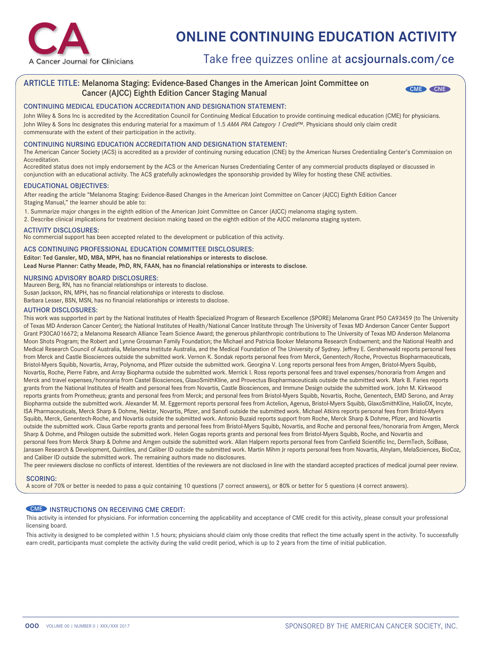

# ONLINE CONTINUING EDUCATION ACTIVITY

## Take free quizzes online at acsjournals.com/ce

## ARTICLE TITLE: Melanoma Staging: Evidence-Based Changes in the American Joint Committee on Cancer (AJCC) Eighth Edition Cancer Staging Manual



#### CONTINUING MEDICAL EDUCATION ACCREDITATION AND DESIGNATION STATEMENT:

John Wiley & Sons Inc is accredited by the Accreditation Council for Continuing Medical Education to provide continuing medical education (CME) for physicians. John Wiley & Sons Inc designates this enduring material for a maximum of 1.5 *AMA PRA Category 1 Credit*™. Physicians should only claim credit commensurate with the extent of their participation in the activity.

#### CONTINUING NURSING EDUCATION ACCREDITATION AND DESIGNATION STATEMENT:

The American Cancer Society (ACS) is accredited as a provider of continuing nursing education (CNE) by the American Nurses Credentialing Center's Commission on Accreditation.

Accredited status does not imply endorsement by the ACS or the American Nurses Credentialing Center of any commercial products displayed or discussed in conjunction with an educational activity. The ACS gratefully acknowledges the sponsorship provided by Wiley for hosting these CNE activities.

#### EDUCATIONAL OBJECTIVES:

After reading the article "Melanoma Staging: Evidence-Based Changes in the American Joint Committee on Cancer (AJCC) Eighth Edition Cancer Staging Manual," the learner should be able to:

1. Summarize major changes in the eighth edition of the American Joint Committee on Cancer (AJCC) melanoma staging system.

2. Describe clinical implications for treatment decision making based on the eighth edition of the AJCC melanoma staging system.

#### ACTIVITY DISCLOSURES:

No commercial support has been accepted related to the development or publication of this activity.

#### ACS CONTINUING PROFESSIONAL EDUCATION COMMITTEE DISCLOSURES:

Editor: Ted Gansler, MD, MBA, MPH, has no financial relationships or interests to disclose. Lead Nurse Planner: Cathy Meade, PhD, RN, FAAN, has no financial relationships or interests to disclose.

#### NURSING ADVISORY BOARD DISCLOSURES:

Maureen Berg, RN, has no financial relationships or interests to disclose. Susan Jackson, RN, MPH, has no financial relationships or interests to disclose. Barbara Lesser, BSN, MSN, has no financial relationships or interests to disclose.

#### AUTHOR DISCLOSURES:

This work was supported in part by the National Institutes of Health Specialized Program of Research Excellence (SPORE) Melanoma Grant P50 CA93459 (to The University of Texas MD Anderson Cancer Center); the National Institutes of Health/National Cancer Institute through The University of Texas MD Anderson Cancer Center Support Grant P30CA016672; a Melanoma Research Alliance Team Science Award; the generous philanthropic contributions to The University of Texas MD Anderson Melanoma Moon Shots Program; the Robert and Lynne Grossman Family Foundation; the Michael and Patricia Booker Melanoma Research Endowment; and the National Health and Medical Research Council of Australia, Melanoma Institute Australia, and the Medical Foundation of The University of Sydney. Jeffrey E. Gershenwald reports personal fees from Merck and Castle Biosciences outside the submitted work. Vernon K. Sondak reports personal fees from Merck, Genentech/Roche, Provectus Biopharmaceuticals, Bristol-Myers Squibb, Novartis, Array, Polynoma, and Pfizer outside the submitted work. Georgina V. Long reports personal fees from Amgen, Bristol-Myers Squibb, Novartis, Roche, Pierre Fabre, and Array Biopharma outside the submitted work. Merrick I. Ross reports personal fees and travel expenses/honoraria from Amgen and Merck and travel expenses/honoraria from Castel Biosciences, GlaxoSmithKline, and Provectus Biopharmaceuticals outside the submitted work. Mark B. Faries reports grants from the National Institutes of Health and personal fees from Novartis, Castle Biosciences, and Immune Design outside the submitted work. John M. Kirkwood reports grants from Prometheus; grants and personal fees from Merck; and personal fees from Bristol-Myers Squibb, Novartis, Roche, Genentech, EMD Serono, and Array Biopharma outside the submitted work. Alexander M. M. Eggermont reports personal fees from Actelion, Agenus, Bristol-Myers Squibb, GlaxoSmithKline, HalioDX, Incyte, ISA Pharmaceuticals, Merck Sharp & Dohme, Nektar, Novartis, Pfizer, and Sanofi outside the submitted work. Michael Atkins reports personal fees from Bristol-Myers Squibb, Merck, Genentech-Roche, and Novartis outside the submitted work. Antonio Buzaid reports support from Roche, Merck Sharp & Dohme, Pfizer, and Novartis outside the submitted work. Claus Garbe reports grants and personal fees from Bristol-Myers Squibb, Novartis, and Roche and personal fees/honoraria from Amgen, Merck Sharp & Dohme, and Philogen outside the submitted work. Helen Gogas reports grants and personal fees from Bristol-Myers Squibb, Roche, and Novartis and personal fees from Merck Sharp & Dohme and Amgen outside the submitted work. Allan Halpern reports personal fees from Canfield Scientific Inc, DermTech, SciBase, Janssen Research & Development, Quintiles, and Caliber ID outside the submitted work. Martin Mihm Jr reports personal fees from Novartis, Alnylam, MelaSciences, BioCoz, and Caliber ID outside the submitted work. The remaining authors made no disclosures.

The peer reviewers disclose no conflicts of interest. Identities of the reviewers are not disclosed in line with the standard accepted practices of medical journal peer review.

#### SCORING:

A score of 70% or better is needed to pass a quiz containing 10 questions (7 correct answers), or 80% or better for 5 questions (4 correct answers).

#### **CMED INSTRUCTIONS ON RECEIVING CME CREDIT:**

This activity is intended for physicians. For information concerning the applicability and acceptance of CME credit for this activity, please consult your professional licensing board.

This activity is designed to be completed within 1.5 hours; physicians should claim only those credits that reflect the time actually spent in the activity. To successfully earn credit, participants must complete the activity during the valid credit period, which is up to 2 years from the time of initial publication.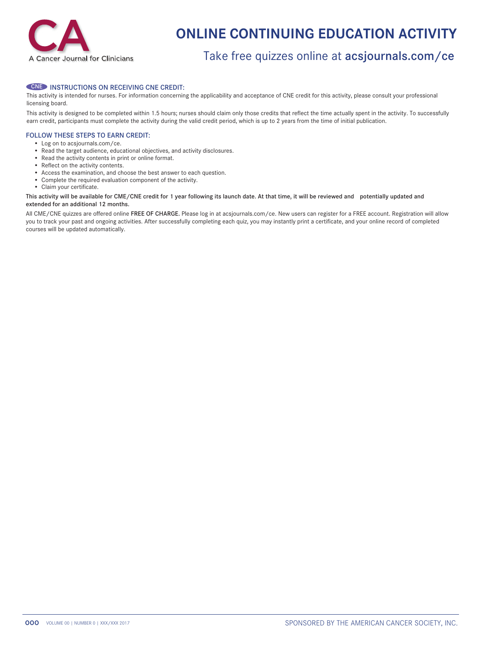

## ONLINE CONTINUING EDUCATION ACTIVITY

## Take free quizzes online at acsjournals.com/ce

#### **CNE INSTRUCTIONS ON RECEIVING CNE CREDIT:**

This activity is intended for nurses. For information concerning the applicability and acceptance of CNE credit for this activity, please consult your professional licensing board.

This activity is designed to be completed within 1.5 hours; nurses should claim only those credits that reflect the time actually spent in the activity. To successfully earn credit, participants must complete the activity during the valid credit period, which is up to 2 years from the time of initial publication.

#### FOLLOW THESE STEPS TO EARN CREDIT:

- Log on to acsjournals.com/ce.
- Read the target audience, educational objectives, and activity disclosures.
- Read the activity contents in print or online format.
- Reflect on the activity contents.
- Access the examination, and choose the best answer to each question.
- Complete the required evaluation component of the activity.
- Claim your certificate.

This activity will be available for CME/CNE credit for 1 year following its launch date. At that time, it will be reviewed and potentially updated and extended for an additional 12 months.

All CME/CNE quizzes are offered online FREE OF CHARGE. Please log in at acsjournals.com/ce. New users can register for a FREE account. Registration will allow you to track your past and ongoing activities. After successfully completing each quiz, you may instantly print a certificate, and your online record of completed courses will be updated automatically.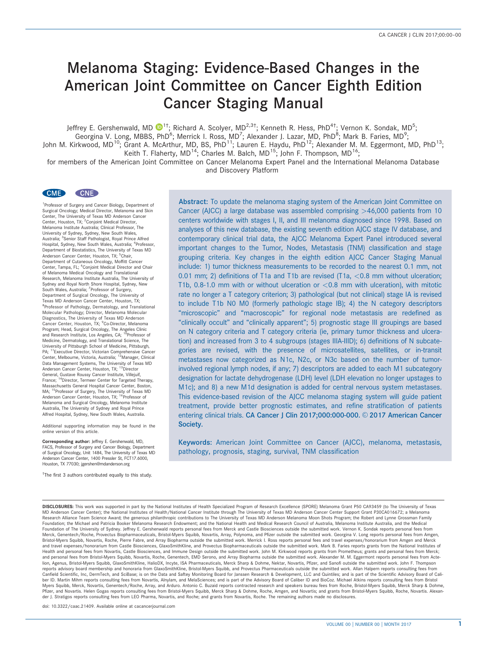# Melanoma Staging: Evidence-Based Changes in the American Joint Committee on Cancer Eighth Edition Cancer Staging Manual

Jeffrey E. Gershenwald, MD  $\bullet$  <sup>[1](http://orcid.org/0000-0003-4519-5369)†</sup>; Richard A. Scolyer, MD<sup>2,3†</sup>; Kenneth R. Hess, PhD<sup>4†</sup>; Vernon K. Sondak, MD<sup>5</sup>;

Georgina V. Long, MBBS, PhD<sup>6</sup>; Merrick I. Ross, MD<sup>7</sup>; Alexander J. Lazar, MD, PhD<sup>8</sup>; Mark B. Faries, MD<sup>9</sup>;

John M. Kirkwood, MD<sup>10</sup>; Grant A. McArthur, MD, BS, PhD<sup>11</sup>; Lauren E. Haydu, PhD<sup>12</sup>; Alexander M. M. Eggermont, MD, PhD<sup>13</sup>; Keith T. Flaherty, MD<sup>14</sup>; Charles M. Balch, MD<sup>15</sup>; John F. Thompson, MD<sup>16</sup>;

for members of the American Joint Committee on Cancer Melanoma Expert Panel and the International Melanoma Database

and Discovery Platform

#### CME CNE

1 Professor of Surgery and Cancer Biology, Department of Surgical Oncology; Medical Director, Melanoma and Skin Center, The University of Texas MD Anderson Cancer Center, Houston, TX; <sup>2</sup> Conjoint Medical Director, Melanoma Institute Australia; Clinical Professor, The University of Sydney, Sydney, New South Wales, Australia; <sup>3</sup>Senior Staff Pathologist, Royal Prince Alfred Hospital, Sydney, New South Wales, Australia; <sup>4</sup>Professor, Department of Biostatistics, The University of Texas MD Anderson Cancer Center, Houston, TX; <sup>5</sup>Chair,<br>Department of Cutaneous Oncology, Moffitt Cancer Center, Tampa, FL; <sup>6</sup>Conjoint Medical Director and Chair of Melanoma Medical Oncology and Translational Research, Melanoma Institute Australia, The University of Sydney and Royal North Shore Hospital, Sydney, New South Wales, Australia; <sup>7</sup> Professor of Surgery,<br>Department of Surgical Oncology, The University of Texas MD Anderson Cancer Center, Houston, TX; <sup>8</sup>Professor of Pathology, Dermatology, and Translational<br>Molecular Pathology; Director, Melanoma Molecular Diagnostics, The University of Texas MD Anderson Cancer Center, Houston, TX; <sup>9</sup>Co-Director, Melanoma Program; Head, Surgical Oncology, The Angeles Clinic<br>and Research Institute, Los Angeles, CA; <sup>10</sup>Professor of Medicine, Dermatology, and Translational Science, The University of Pittsburgh School of Medicine, Pittsburgh,<br>PA; <sup>11</sup>Executive Director, Victorian Comprehensive Cancer<br>Center, Melbourne, Victoria, Australia; <sup>12</sup>Manager, Clinical Data Management Systems, The University of Texas MD Anderson Cancer Center, Houston, TX; 13Director General, Gustave Roussy Cancer Institute, Villejuif, France; 14Director, Termeer Center for Targeted Therapy, Massachusetts General Hospital Cancer Center, Boston,<br>MA; <sup>15</sup>Professor of Surgery, The University of Texas MD<br>Anderson Cancer Center, Houston, TX; <sup>16</sup>Professor of Melanoma and Surgical Oncology, Melanoma Institute Australia, The University of Sydney and Royal Prince Alfred Hospital, Sydney, New South Wales, Australia.

Additional supporting information may be found in the online version of this article.

Corresponding author: Jeffrey E. Gershenwald, MD, FACS, Professor of Surgery and Cancer Biology, Department of Surgical Oncology, Unit 1484, The University of Texas MD Anderson Cancer Center, 1400 Pressler St, FCT17.6000, Houston, TX 77030; jgershen@mdanderson.org

† The first 3 authors contributed equally to this study.

Abstract: To update the melanoma staging system of the American Joint Committee on Cancer (AJCC) a large database was assembled comprising  $>46,000$  patients from 10 centers worldwide with stages I, II, and III melanoma diagnosed since 1998. Based on analyses of this new database, the existing seventh edition AJCC stage IV database, and contemporary clinical trial data, the AJCC Melanoma Expert Panel introduced several important changes to the Tumor, Nodes, Metastasis (TNM) classification and stage grouping criteria. Key changes in the eighth edition AJCC Cancer Staging Manual include: 1) tumor thickness measurements to be recorded to the nearest 0.1 mm, not 0.01 mm; 2) definitions of T1a and T1b are revised (T1a, <0.8 mm without ulceration; T1b, 0.8-1.0 mm with or without ulceration or  $<$  0.8 mm with ulceration), with mitotic rate no longer a T category criterion; 3) pathological (but not clinical) stage IA is revised to include T1b N0 M0 (formerly pathologic stage IB); 4) the N category descriptors "microscopic" and "macroscopic" for regional node metastasis are redefined as "clinically occult" and "clinically apparent"; 5) prognostic stage III groupings are based on N category criteria and T category criteria (ie, primary tumor thickness and ulceration) and increased from 3 to 4 subgroups (stages IIIA-IIID); 6) definitions of N subcategories are revised, with the presence of microsatellites, satellites, or in-transit metastases now categorized as N1c, N2c, or N3c based on the number of tumorinvolved regional lymph nodes, if any; 7) descriptors are added to each M1 subcategory designation for lactate dehydrogenase (LDH) level (LDH elevation no longer upstages to M1c); and 8) a new M1d designation is added for central nervous system metastases. This evidence-based revision of the AJCC melanoma staging system will guide patient treatment, provide better prognostic estimates, and refine stratification of patients entering clinical trials. CA Cancer J Clin 2017;000:000-000. @ 2017 American Cancer Society.

Keywords: American Joint Committee on Cancer (AJCC), melanoma, metastasis, pathology, prognosis, staging, survival, TNM classification

DISCLOSURES: This work was supported in part by the National Institutes of Health Specialized Program of Research Excellence (SPORE) Melanoma Grant P50 CA93459 (to The University of Texas MD Anderson Cancer Center); the National Institutes of Health/National Cancer Institute through The University of Texas MD Anderson Cancer Center Support Grant P30CA016672; a Melanoma<br>Research Alliance Team Science Award; Foundation; the Michael and Patricia Booker Melanoma Research Endowment; and the National Health and Medical Research Council of Australia, Melanoma Institute Australia, and the Medical Foundation of The University of Sydney. Jeffrey E. Gershenwald reports personal fees from Merck and Castle Biosciences outside the submitted work. Vernon K. Sondak reports personal fees from<br>Merck, Genentech/Roche, Provect Bristol-Myers Squibb, Novartis, Roche, Pierre Fabre, and Array Biopharma outside the submitted work. Merrick I. Ross reports personal fees and travel expenses/honorarium from Amgen and Merck<br>and travel expenses/honorarium Health and personal fees from Novartis, Castle Biosciences, and Immune Design outside the submitted work. John M. Kirkwood reports grants from Prometheus; grants and personal fees from Merck; and personal fees from Bristol-Myers Squibb, Novartis, Roche, Genentech, EMD Serono, and Array Biopharma outside the submitted work. Alexander M. M. Eggermont reports personal fees from Acte-<br>Iion, Agenus, Bristol-Myers Sq reports advisory board membership and honoraria from GlaxoSmithKline, Bristol-Myers Squibb, and Provectus Pharmaceuticals outside the submitted work. Allan Halpern reports consulting fees from Canfield Scientific, Inc, DermTech, and SciBase; is on the Data and Saftey Monitoring Board for Janssen Research & Development, LLC and Quintiles; and is part of the Scientific Advisory Board of Cali-<br>ber ID. Martin Mihm r Myers Squibb, Merck, Novartis, Genentech/Roche, Array, and Arduro. Antonio C. Buzaid reports contracted research and speakers bureau fees from Roche, Bristol-Myers Squibb, Merck Sharp & Dohme, Pfizer, and Novartis. Helen Gogas reports consulting fees from Bristol-Myers Squibb, Merck Sharp & Dohme, Roche, Amgen, and Novartis; and grants from Bristol-Myers Squibb, Roche, Novartis. Alexander J. Stratigos reports consulting fees from LEO Pharma, Novartis, and Roche; and grants from Novartis, Roche. The remaining authors made no disclosures.

doi: 10.3322/caac.21409. Available online at [cacancerjournal.com](http://cacancerjournal.com)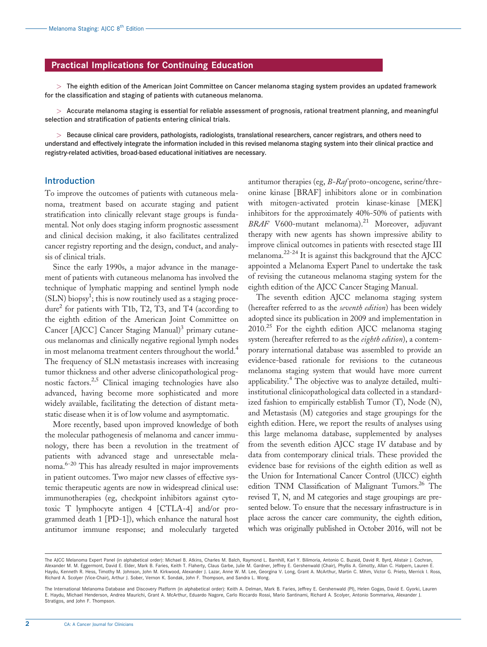## Practical Implications for Continuing Education

 $>$  The eighth edition of the American Joint Committee on Cancer melanoma staging system provides an updated framework for the classification and staging of patients with cutaneous melanoma.

> Accurate melanoma staging is essential for reliable assessment of prognosis, rational treatment planning, and meaningful selection and stratification of patients entering clinical trials.

> Because clinical care providers, pathologists, radiologists, translational researchers, cancer registrars, and others need to understand and effectively integrate the information included in this revised melanoma staging system into their clinical practice and registry-related activities, broad-based educational initiatives are necessary.

## Introduction

To improve the outcomes of patients with cutaneous melanoma, treatment based on accurate staging and patient stratification into clinically relevant stage groups is fundamental. Not only does staging inform prognostic assessment and clinical decision making, it also facilitates centralized cancer registry reporting and the design, conduct, and analysis of clinical trials.

Since the early 1990s, a major advance in the management of patients with cutaneous melanoma has involved the technique of lymphatic mapping and sentinel lymph node  $(SLN)$  biopsy<sup>1</sup>; this is now routinely used as a staging procedure<sup>2</sup> for patients with T1b, T2, T3, and T4 (according to the eighth edition of the American Joint Committee on Cancer [AJCC] Cancer Staging Manual)<sup>3</sup> primary cutaneous melanomas and clinically negative regional lymph nodes in most melanoma treatment centers throughout the world.<sup>4</sup> The frequency of SLN metastasis increases with increasing tumor thickness and other adverse clinicopathological prognostic factors. $2.5$  Clinical imaging technologies have also advanced, having become more sophisticated and more widely available, facilitating the detection of distant metastatic disease when it is of low volume and asymptomatic.

More recently, based upon improved knowledge of both the molecular pathogenesis of melanoma and cancer immunology, there has been a revolution in the treatment of patients with advanced stage and unresectable melanoma.<sup>6-20</sup> This has already resulted in major improvements in patient outcomes. Two major new classes of effective systemic therapeutic agents are now in widespread clinical use: immunotherapies (eg, checkpoint inhibitors against cytotoxic T lymphocyte antigen 4 [CTLA-4] and/or programmed death 1 [PD-1]), which enhance the natural host antitumor immune response; and molecularly targeted

antitumor therapies (eg, B-Raf proto-oncogene, serine/threonine kinase [BRAF] inhibitors alone or in combination with mitogen-activated protein kinase-kinase [MEK] inhibitors for the approximately 40%-50% of patients with  $BRAF$  V600-mutant melanoma).<sup>21</sup> Moreover, adjuvant therapy with new agents has shown impressive ability to improve clinical outcomes in patients with resected stage III melanoma.22-24 It is against this background that the AJCC appointed a Melanoma Expert Panel to undertake the task of revising the cutaneous melanoma staging system for the eighth edition of the AJCC Cancer Staging Manual.

The seventh edition AJCC melanoma staging system (hereafter referred to as the *seventh edition*) has been widely adopted since its publication in 2009 and implementation in  $2010^{25}$  For the eighth edition AJCC melanoma staging system (hereafter referred to as the eighth edition), a contemporary international database was assembled to provide an evidence-based rationale for revisions to the cutaneous melanoma staging system that would have more current applicability.<sup>4</sup> The objective was to analyze detailed, multiinstitutional clinicopathological data collected in a standardized fashion to empirically establish Tumor (T), Node (N), and Metastasis (M) categories and stage groupings for the eighth edition. Here, we report the results of analyses using this large melanoma database, supplemented by analyses from the seventh edition AJCC stage IV database and by data from contemporary clinical trials. These provided the evidence base for revisions of the eighth edition as well as the Union for International Cancer Control (UICC) eighth edition TNM Classification of Malignant Tumors.<sup>26</sup> The revised T, N, and M categories and stage groupings are presented below. To ensure that the necessary infrastructure is in place across the cancer care community, the eighth edition, which was originally published in October 2016, will not be

The AJCC Melanoma Expert Panel (in alphabetical order): Michael B. Atkins, Charles M. Balch, Raymond L. Barnhill, Karl Y. Bilimoria, Antonio C. Buzaid, David R. Byrd, Alistair J. Cochran, Alexander M. M. Eggermont, David E. Elder, Mark B. Faries, Keith T. Flaherty, Claus Garbe, Julie M. Gardher, Jeffrey E. Gershenwald (Chair), Phyllis A. Gimotty, Allan C. Halpern, Lauren E.<br>Haydu, Kenneth R. Hess, Timothy M Richard A. Scolyer (Vice-Chair), Arthur J. Sober, Vernon K. Sondak, John F. Thompson, and Sandra L. Wong.

The International Melanoma Database and Discovery Platform (in alphabetical order): Keith A. Delman, Mark B. Faries, Jeffrey E. Gershenwald (PI), Helen Gogas, David E. Gyorki, Lauren E. Haydu, Michael Henderson, Andrea Maurichi, Grant A. McArthur, Eduardo Nagore, Carlo Riccardo Rossi, Mario Santinami, Richard A. Scolyer, Antonio Sommariva, Alexander J. Stratigos, and John F. Thompson.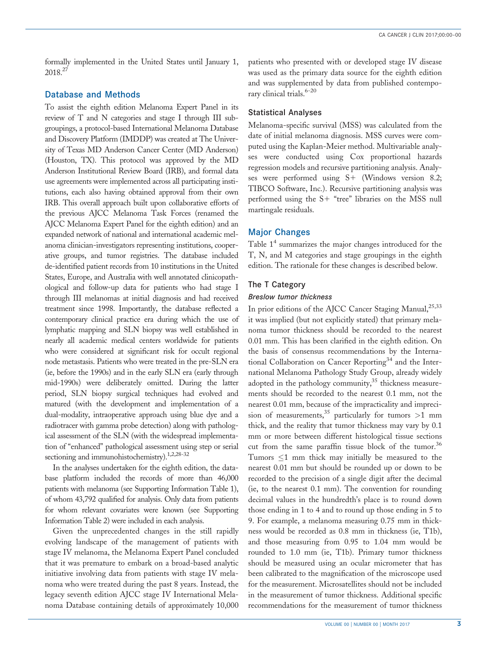formally implemented in the United States until January 1, 2018<sup>27</sup>

## Database and Methods

To assist the eighth edition Melanoma Expert Panel in its review of T and N categories and stage I through III subgroupings, a protocol-based International Melanoma Database and Discovery Platform (IMDDP) was created at The University of Texas MD Anderson Cancer Center (MD Anderson) (Houston, TX). This protocol was approved by the MD Anderson Institutional Review Board (IRB), and formal data use agreements were implemented across all participating institutions, each also having obtained approval from their own IRB. This overall approach built upon collaborative efforts of the previous AJCC Melanoma Task Forces (renamed the AJCC Melanoma Expert Panel for the eighth edition) and an expanded network of national and international academic melanoma clinician-investigators representing institutions, cooperative groups, and tumor registries. The database included de-identified patient records from 10 institutions in the United States, Europe, and Australia with well annotated clinicopathological and follow-up data for patients who had stage I through III melanomas at initial diagnosis and had received treatment since 1998. Importantly, the database reflected a contemporary clinical practice era during which the use of lymphatic mapping and SLN biopsy was well established in nearly all academic medical centers worldwide for patients who were considered at significant risk for occult regional node metastasis. Patients who were treated in the pre-SLN era (ie, before the 1990s) and in the early SLN era (early through mid-1990s) were deliberately omitted. During the latter period, SLN biopsy surgical techniques had evolved and matured (with the development and implementation of a dual-modality, intraoperative approach using blue dye and a radiotracer with gamma probe detection) along with pathological assessment of the SLN (with the widespread implementation of "enhanced" pathological assessment using step or serial sectioning and immunohistochemistry).<sup>1,2,28-32</sup>

In the analyses undertaken for the eighth edition, the database platform included the records of more than 46,000 patients with melanoma (see Supporting Information Table 1), of whom 43,792 qualified for analysis. Only data from patients for whom relevant covariates were known (see Supporting Information Table 2) were included in each analysis.

Given the unprecedented changes in the still rapidly evolving landscape of the management of patients with stage IV melanoma, the Melanoma Expert Panel concluded that it was premature to embark on a broad-based analytic initiative involving data from patients with stage IV melanoma who were treated during the past 8 years. Instead, the legacy seventh edition AJCC stage IV International Melanoma Database containing details of approximately 10,000

patients who presented with or developed stage IV disease was used as the primary data source for the eighth edition and was supplemented by data from published contemporary clinical trials.<sup>6-20</sup>

## Statistical Analyses

Melanoma-specific survival (MSS) was calculated from the date of initial melanoma diagnosis. MSS curves were computed using the Kaplan-Meier method. Multivariable analyses were conducted using Cox proportional hazards regression models and recursive partitioning analysis. Analyses were performed using  $S+$  (Windows version 8.2; TIBCO Software, Inc.). Recursive partitioning analysis was performed using the  $S+$  "tree" libraries on the MSS null martingale residuals.

## Major Changes

Table  $1<sup>4</sup>$  summarizes the major changes introduced for the T, N, and M categories and stage groupings in the eighth edition. The rationale for these changes is described below.

## The T Category

## Breslow tumor thickness

In prior editions of the AJCC Cancer Staging Manual,<sup>25,33</sup> it was implied (but not explicitly stated) that primary melanoma tumor thickness should be recorded to the nearest 0.01 mm. This has been clarified in the eighth edition. On the basis of consensus recommendations by the International Collaboration on Cancer Reporting<sup>34</sup> and the International Melanoma Pathology Study Group, already widely adopted in the pathology community,  $35$  thickness measurements should be recorded to the nearest 0.1 mm, not the nearest 0.01 mm, because of the impracticality and imprecision of measurements,<sup>35</sup> particularly for tumors >1 mm thick, and the reality that tumor thickness may vary by 0.1 mm or more between different histological tissue sections cut from the same paraffin tissue block of the tumor.<sup>36</sup> Tumors  $\leq$ 1 mm thick may initially be measured to the nearest 0.01 mm but should be rounded up or down to be recorded to the precision of a single digit after the decimal (ie, to the nearest 0.1 mm). The convention for rounding decimal values in the hundredth's place is to round down those ending in 1 to 4 and to round up those ending in 5 to 9. For example, a melanoma measuring 0.75 mm in thickness would be recorded as 0.8 mm in thickness (ie, T1b), and those measuring from 0.95 to 1.04 mm would be rounded to 1.0 mm (ie, T1b). Primary tumor thickness should be measured using an ocular micrometer that has been calibrated to the magnification of the microscope used for the measurement. Microsatellites should not be included in the measurement of tumor thickness. Additional specific recommendations for the measurement of tumor thickness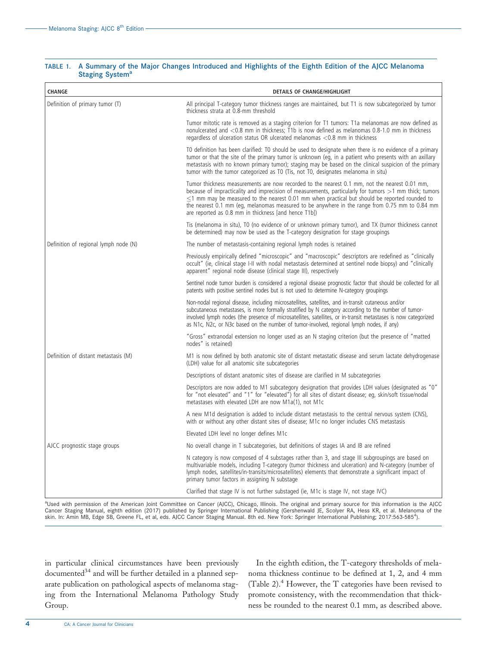| <b>CHANGE</b>                         | <b>DETAILS OF CHANGE/HIGHLIGHT</b>                                                                                                                                                                                                                                                                                                                                                                                                                                    |
|---------------------------------------|-----------------------------------------------------------------------------------------------------------------------------------------------------------------------------------------------------------------------------------------------------------------------------------------------------------------------------------------------------------------------------------------------------------------------------------------------------------------------|
| Definition of primary tumor (T)       | All principal T-category tumor thickness ranges are maintained, but T1 is now subcategorized by tumor<br>thickness strata at 0.8-mm threshold                                                                                                                                                                                                                                                                                                                         |
|                                       | Tumor mitotic rate is removed as a staging criterion for T1 tumors: T1a melanomas are now defined as<br>nonulcerated and <0.8 mm in thickness; T1b is now defined as melanomas 0.8-1.0 mm in thickness<br>regardless of ulceration status OR ulcerated melanomas $<$ 0.8 mm in thickness                                                                                                                                                                              |
|                                       | TO definition has been clarified: TO should be used to designate when there is no evidence of a primary<br>tumor or that the site of the primary tumor is unknown (eq, in a patient who presents with an axillary<br>metastasis with no known primary tumor); staging may be based on the clinical suspicion of the primary<br>tumor with the tumor categorized as TO (Tis, not TO, designates melanoma in situ)                                                      |
|                                       | Tumor thickness measurements are now recorded to the nearest 0.1 mm, not the nearest 0.01 mm,<br>because of impracticality and imprecision of measurements, particularly for tumors >1 mm thick; tumors<br>$<$ 1 mm may be measured to the nearest 0.01 mm when practical but should be reported rounded to<br>the nearest 0.1 mm (eq, melanomas measured to be anywhere in the range from 0.75 mm to 0.84 mm<br>are reported as 0.8 mm in thickness [and hence T1b]) |
|                                       | Tis (melanoma in situ), T0 (no evidence of or unknown primary tumor), and TX (tumor thickness cannot<br>be determined) may now be used as the T-category designation for stage groupings                                                                                                                                                                                                                                                                              |
| Definition of regional lymph node (N) | The number of metastasis-containing regional lymph nodes is retained                                                                                                                                                                                                                                                                                                                                                                                                  |
|                                       | Previously empirically defined "microscopic" and "macroscopic" descriptors are redefined as "clinically<br>occult" (ie, clinical stage I-II with nodal metastasis determined at sentinel node biopsy) and "clinically<br>apparent" regional node disease (clinical stage III), respectively                                                                                                                                                                           |
|                                       | Sentinel node tumor burden is considered a regional disease prognostic factor that should be collected for all<br>patents with positive sentinel nodes but is not used to determine N-category groupings                                                                                                                                                                                                                                                              |
|                                       | Non-nodal regional disease, including microsatellites, satellites, and in-transit cutaneous and/or<br>subcutaneous metastases, is more formally stratified by N category according to the number of tumor-<br>involved lymph nodes (the presence of microsatellites, satellites, or in-transit metastases is now categorized<br>as N1c, N2c, or N3c based on the number of tumor-involved, regional lymph nodes, if any)                                              |
|                                       | "Gross" extranodal extension no longer used as an N staging criterion (but the presence of "matted<br>nodes" is retained)                                                                                                                                                                                                                                                                                                                                             |
| Definition of distant metastasis (M)  | M1 is now defined by both anatomic site of distant metastatic disease and serum lactate dehydrogenase<br>(LDH) value for all anatomic site subcategories                                                                                                                                                                                                                                                                                                              |
|                                       | Descriptions of distant anatomic sites of disease are clarified in M subcategories                                                                                                                                                                                                                                                                                                                                                                                    |
|                                       | Descriptors are now added to M1 subcategory designation that provides LDH values (designated as "0"<br>for "not elevated" and "1" for "elevated") for all sites of distant disease; eq, skin/soft tissue/nodal<br>metastases with elevated LDH are now M1a(1), not M1c                                                                                                                                                                                                |
|                                       | A new M1d designation is added to include distant metastasis to the central nervous system (CNS),<br>with or without any other distant sites of disease; M1c no longer includes CNS metastasis                                                                                                                                                                                                                                                                        |
|                                       | Elevated LDH level no longer defines M1c                                                                                                                                                                                                                                                                                                                                                                                                                              |
| AJCC prognostic stage groups          | No overall change in T subcategories, but definitions of stages IA and IB are refined                                                                                                                                                                                                                                                                                                                                                                                 |
|                                       | N category is now composed of 4 substages rather than 3, and stage III subgroupings are based on<br>multivariable models, including T-category (tumor thickness and ulceration) and N-category (number of<br>lymph nodes, satellites/in-transits/microsatellites) elements that demonstrate a significant impact of<br>primary tumor factors in assigning N substage                                                                                                  |
|                                       | Clarified that stage IV is not further substaged (ie, M1c is stage IV, not stage IVC)                                                                                                                                                                                                                                                                                                                                                                                 |
|                                       | <sup>a</sup> Used with permission of the American loint Committee on Cancer (AICC), Chicago, Illinois. The original and primary source for this information is the AICC                                                                                                                                                                                                                                                                                               |

## TABLE 1. A Summary of the Major Changes Introduced and Highlights of the Eighth Edition of the AJCC Melanoma **Staging System<sup>a</sup>**

<sup>a</sup>Used with permission of the American Joint Committee on Cancer (AJCC), Chicago, Illinois. The original and primary source for this information is the AJCC<br>Cancer Staging Manual, eighth edition (2017) published by Spring skin. In: Amin MB, Edge SB, Greene FL, et al, eds. AJCC Cancer Staging Manual. 8th ed. New York: Springer International Publishing; 2017:563-585<sup>4</sup> ).

in particular clinical circumstances have been previously  $d$  documented<sup>34</sup> and will be further detailed in a planned separate publication on pathological aspects of melanoma staging from the International Melanoma Pathology Study Group.

In the eighth edition, the T-category thresholds of melanoma thickness continue to be defined at 1, 2, and 4 mm (Table 2).4 However, the T categories have been revised to promote consistency, with the recommendation that thickness be rounded to the nearest 0.1 mm, as described above.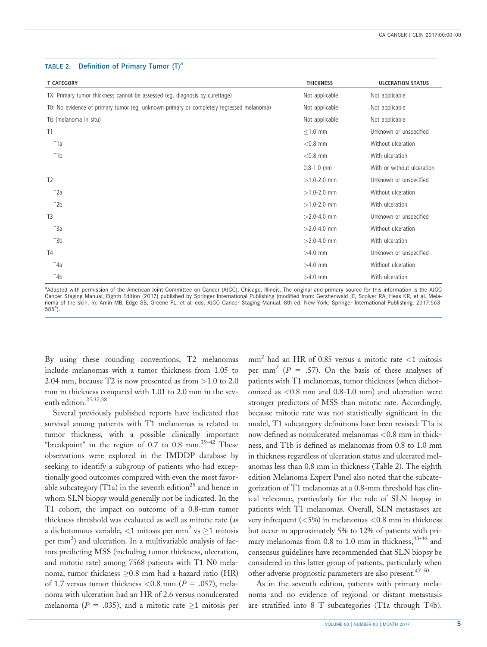| <b>T CATEGORY</b>                                                                       | <b>THICKNESS</b> | <b>ULCERATION STATUS</b>   |
|-----------------------------------------------------------------------------------------|------------------|----------------------------|
| TX: Primary tumor thickness cannot be assessed (eq. diagnosis by curettage)             | Not applicable   | Not applicable             |
| TO: No evidence of primary tumor (eg, unknown primary or completely regressed melanoma) | Not applicable   | Not applicable             |
| Tis (melanoma in situ)                                                                  | Not applicable   | Not applicable             |
| T1                                                                                      | $<$ 1.0 mm       | Unknown or unspecified     |
| T <sub>1</sub> a                                                                        | $<$ 0.8 mm       | Without ulceration         |
| T <sub>1</sub> b                                                                        | $<$ 0.8 mm       | With ulceration            |
|                                                                                         | $0.8 - 1.0$ mm   | With or without ulceration |
| T <sub>2</sub>                                                                          | $>1.0 - 2.0$ mm  | Unknown or unspecified     |
| T <sub>2</sub> a                                                                        | $>1.0 - 2.0$ mm  | Without ulceration         |
| T <sub>2</sub> b                                                                        | $>1.0 - 2.0$ mm  | With ulceration            |
| T3                                                                                      | $>$ 2.0-4.0 mm   | Unknown or unspecified     |
| T <sub>3</sub> a                                                                        | $>$ 2.0-4.0 mm   | Without ulceration         |
| T3b                                                                                     | $>$ 2.0-4.0 mm   | With ulceration            |
| T4                                                                                      | $>4.0$ mm        | Unknown or unspecified     |
| T4a                                                                                     | $>4.0$ mm        | Without ulceration         |
| T4b                                                                                     | $>4.0$ mm        | With ulceration            |

#### TABLE 2. Definition of Primary Tumor  $(T)^a$

<sup>a</sup>Adapted with permission of the American Joint Committee on Cancer (AJCC), Chicago, Illinois. The original and primary source for this information is the AJCC<br>Cancer Staging Manual, Eighth Edition (2017) published by Spr  $585^{4}$ ).

By using these rounding conventions, T2 melanomas include melanomas with a tumor thickness from 1.05 to 2.04 mm, because T2 is now presented as from >1.0 to 2.0 mm in thickness compared with 1.01 to 2.0 mm in the seventh edition.<sup>25,37,38</sup>

Several previously published reports have indicated that survival among patients with T1 melanomas is related to tumor thickness, with a possible clinically important "breakpoint" in the region of 0.7 to 0.8 mm.<sup>39-42</sup> These observations were explored in the IMDDP database by seeking to identify a subgroup of patients who had exceptionally good outcomes compared with even the most favorable subcategory (T1a) in the seventh edition<sup>25</sup> and hence in whom SLN biopsy would generally not be indicated. In the T1 cohort, the impact on outcome of a 0.8-mm tumor thickness threshold was evaluated as well as mitotic rate (as a dichotomous variable,  $\langle 1 \text{ mitosis per mm}^2 \rangle$  vs  $\geq 1 \text{ mitosis}$ per mm<sup>2</sup>) and ulceration. In a multivariable analysis of factors predicting MSS (including tumor thickness, ulceration, and mitotic rate) among 7568 patients with T1 N0 melanoma, tumor thickness  $\geq 0.8$  mm had a hazard ratio (HR) of 1.7 versus tumor thickness <0.8 mm ( $P = .057$ ), melanoma with ulceration had an HR of 2.6 versus nonulcerated melanoma ( $P = .035$ ), and a mitotic rate  $\geq 1$  mitosis per

 $mm<sup>2</sup>$  had an HR of 0.85 versus a mitotic rate <1 mitosis per mm<sup>2</sup> ( $P = .57$ ). On the basis of these analyses of patients with T1 melanomas, tumor thickness (when dichotomized as <0.8 mm and 0.8-1.0 mm) and ulceration were stronger predictors of MSS than mitotic rate. Accordingly, because mitotic rate was not statistically significant in the model, T1 subcategory definitions have been revised: T1a is now defined as nonulcerated melanomas <0.8 mm in thickness, and T1b is defined as melanomas from 0.8 to 1.0 mm in thickness regardless of ulceration status and ulcerated melanomas less than 0.8 mm in thickness (Table 2). The eighth edition Melanoma Expert Panel also noted that the subcategorization of T1 melanomas at a 0.8-mm threshold has clinical relevance, particularly for the role of SLN biopsy in patients with T1 melanomas. Overall, SLN metastases are very infrequent (<5%) in melanomas <0.8 mm in thickness but occur in approximately 5% to 12% of patients with primary melanomas from 0.8 to 1.0 mm in thickness,  $43-46$  and consensus guidelines have recommended that SLN biopsy be considered in this latter group of patients, particularly when other adverse prognostic parameters are also present.<sup>47-50</sup>

As in the seventh edition, patients with primary melanoma and no evidence of regional or distant metastasis are stratified into 8 T subcategories (T1a through T4b).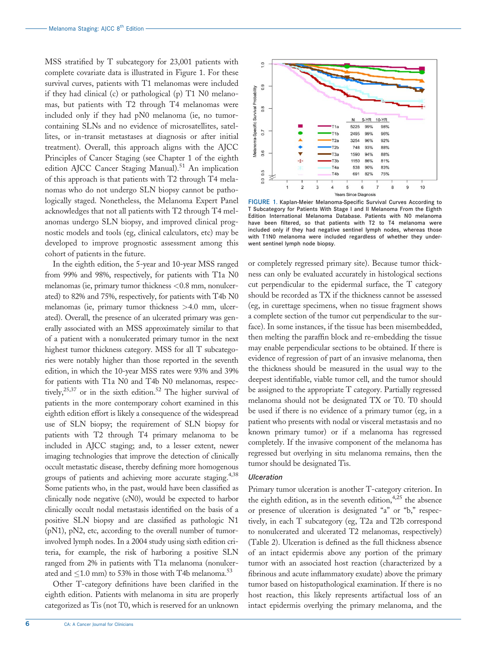MSS stratified by T subcategory for 23,001 patients with complete covariate data is illustrated in Figure 1. For these survival curves, patients with T1 melanomas were included if they had clinical (c) or pathological (p) T1 N0 melanomas, but patients with T2 through T4 melanomas were included only if they had pN0 melanoma (ie, no tumorcontaining SLNs and no evidence of microsatellites, satellites, or in-transit metastases at diagnosis or after initial treatment). Overall, this approach aligns with the AJCC Principles of Cancer Staging (see Chapter 1 of the eighth edition AJCC Cancer Staging Manual).<sup>51</sup> An implication of this approach is that patients with T2 through T4 melanomas who do not undergo SLN biopsy cannot be pathologically staged. Nonetheless, the Melanoma Expert Panel acknowledges that not all patients with T2 through T4 melanomas undergo SLN biopsy, and improved clinical prognostic models and tools (eg, clinical calculators, etc) may be developed to improve prognostic assessment among this cohort of patients in the future.

In the eighth edition, the 5-year and 10-year MSS ranged from 99% and 98%, respectively, for patients with T1a N0 melanomas (ie, primary tumor thickness <0.8 mm, nonulcerated) to 82% and 75%, respectively, for patients with T4b N0 melanomas (ie, primary tumor thickness >4.0 mm, ulcerated). Overall, the presence of an ulcerated primary was generally associated with an MSS approximately similar to that of a patient with a nonulcerated primary tumor in the next highest tumor thickness category. MSS for all T subcategories were notably higher than those reported in the seventh edition, in which the 10-year MSS rates were 93% and 39% for patients with T1a N0 and T4b N0 melanomas, respectively,  $25,37$  or in the sixth edition.<sup>52</sup> The higher survival of patients in the more contemporary cohort examined in this eighth edition effort is likely a consequence of the widespread use of SLN biopsy; the requirement of SLN biopsy for patients with T2 through T4 primary melanoma to be included in AJCC staging; and, to a lesser extent, newer imaging technologies that improve the detection of clinically occult metastatic disease, thereby defining more homogenous groups of patients and achieving more accurate staging.<sup>4,38</sup> Some patients who, in the past, would have been classified as clinically node negative (cN0), would be expected to harbor clinically occult nodal metastasis identified on the basis of a positive SLN biopsy and are classified as pathologic N1 (pN1), pN2, etc, according to the overall number of tumorinvolved lymph nodes. In a 2004 study using sixth edition criteria, for example, the risk of harboring a positive SLN ranged from 2% in patients with T1a melanoma (nonulcerated and  $\leq$ 1.0 mm) to 53% in those with T4b melanoma.<sup>53</sup>

Other T-category definitions have been clarified in the eighth edition. Patients with melanoma in situ are properly categorized as Tis (not T0, which is reserved for an unknown



FIGURE 1. Kaplan-Meier Melanoma-Specific Survival Curves According to T Subcategory for Patients With Stage I and II Melanoma From the Eighth Edition International Melanoma Database. Patients with N0 melanoma have been filtered, so that patients with T2 to T4 melanoma were included only if they had negative sentinel lymph nodes, whereas those with T1N0 melanoma were included regardless of whether they underwent sentinel lymph node biopsy.

or completely regressed primary site). Because tumor thickness can only be evaluated accurately in histological sections cut perpendicular to the epidermal surface, the T category should be recorded as TX if the thickness cannot be assessed (eg, in curettage specimens, when no tissue fragment shows a complete section of the tumor cut perpendicular to the surface). In some instances, if the tissue has been misembedded, then melting the paraffin block and re-embedding the tissue may enable perpendicular sections to be obtained. If there is evidence of regression of part of an invasive melanoma, then the thickness should be measured in the usual way to the deepest identifiable, viable tumor cell, and the tumor should be assigned to the appropriate T category. Partially regressed melanoma should not be designated TX or T0. T0 should be used if there is no evidence of a primary tumor (eg, in a patient who presents with nodal or visceral metastasis and no known primary tumor) or if a melanoma has regressed completely. If the invasive component of the melanoma has regressed but overlying in situ melanoma remains, then the tumor should be designated Tis.

## **Ulceration**

Primary tumor ulceration is another T-category criterion. In the eighth edition, as in the seventh edition,  $4.25$  the absence or presence of ulceration is designated "a" or "b," respectively, in each T subcategory (eg, T2a and T2b correspond to nonulcerated and ulcerated T2 melanomas, respectively) (Table 2). Ulceration is defined as the full thickness absence of an intact epidermis above any portion of the primary tumor with an associated host reaction (characterized by a fibrinous and acute inflammatory exudate) above the primary tumor based on histopathological examination. If there is no host reaction, this likely represents artifactual loss of an intact epidermis overlying the primary melanoma, and the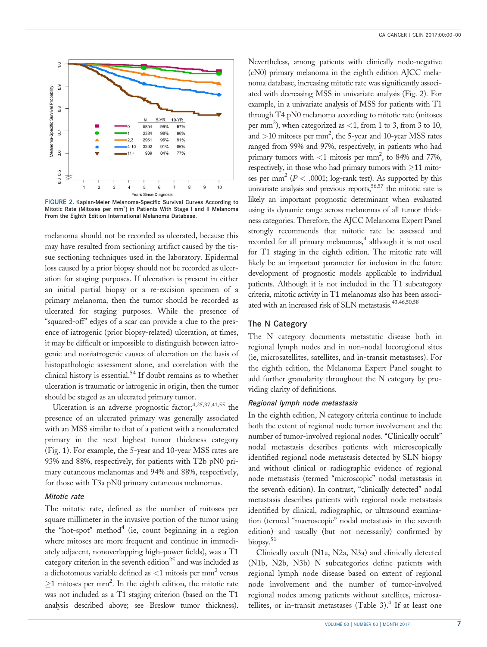

FIGURE 2. Kaplan-Meier Melanoma-Specific Survival Curves According to Mitotic Rate (Mitoses per  $mm<sup>2</sup>$ ) in Patients With Stage I and II Melanoma From the Eighth Edition International Melanoma Database.

melanoma should not be recorded as ulcerated, because this may have resulted from sectioning artifact caused by the tissue sectioning techniques used in the laboratory. Epidermal loss caused by a prior biopsy should not be recorded as ulceration for staging purposes. If ulceration is present in either an initial partial biopsy or a re-excision specimen of a primary melanoma, then the tumor should be recorded as ulcerated for staging purposes. While the presence of "squared-off" edges of a scar can provide a clue to the presence of iatrogenic (prior biopsy-related) ulceration, at times, it may be difficult or impossible to distinguish between iatrogenic and noniatrogenic causes of ulceration on the basis of histopathologic assessment alone, and correlation with the clinical history is essential.<sup>54</sup> If doubt remains as to whether ulceration is traumatic or iatrogenic in origin, then the tumor should be staged as an ulcerated primary tumor.

Ulceration is an adverse prognostic factor;  $4.25,37,41,55$  the presence of an ulcerated primary was generally associated with an MSS similar to that of a patient with a nonulcerated primary in the next highest tumor thickness category (Fig. 1). For example, the 5-year and 10-year MSS rates are 93% and 88%, respectively, for patients with T2b pN0 primary cutaneous melanomas and 94% and 88%, respectively, for those with T3a pN0 primary cutaneous melanomas.

## Mitotic rate

The mitotic rate, defined as the number of mitoses per square millimeter in the invasive portion of the tumor using the "hot-spot" method $4$  (ie, count beginning in a region where mitoses are more frequent and continue in immediately adjacent, nonoverlapping high-power fields), was a T1 category criterion in the seventh edition<sup>25</sup> and was included as a dichotomous variable defined as  $<$ 1 mitosis per mm<sup>2</sup> versus  $\geq$ 1 mitoses per mm<sup>2</sup>. In the eighth edition, the mitotic rate was not included as a T1 staging criterion (based on the T1 analysis described above; see Breslow tumor thickness).

Nevertheless, among patients with clinically node-negative (cN0) primary melanoma in the eighth edition AJCC melanoma database, increasing mitotic rate was significantly associated with decreasing MSS in univariate analysis (Fig. 2). For example, in a univariate analysis of MSS for patients with T1 through T4 pN0 melanoma according to mitotic rate (mitoses per mm<sup>2</sup>), when categorized as  $<$ 1, from 1 to 3, from 3 to 10, and  $>$ 10 mitoses per mm<sup>2</sup>, the 5-year and 10-year MSS rates ranged from 99% and 97%, respectively, in patients who had primary tumors with  $<$ 1 mitosis per mm<sup>2</sup>, to 84% and 77%, respectively, in those who had primary tumors with  $\geq$ 11 mitoses per mm<sup>2</sup> ( $P < .0001$ ; log-rank test). As supported by this univariate analysis and previous reports,  $56,57$  the mitotic rate is likely an important prognostic determinant when evaluated using its dynamic range across melanomas of all tumor thickness categories. Therefore, the AJCC Melanoma Expert Panel strongly recommends that mitotic rate be assessed and recorded for all primary melanomas,<sup>4</sup> although it is not used for T1 staging in the eighth edition. The mitotic rate will likely be an important parameter for inclusion in the future development of prognostic models applicable to individual patients. Although it is not included in the T1 subcategory criteria, mitotic activity in T1 melanomas also has been associated with an increased risk of SLN metastasis.<sup>43,46,50,58</sup>

## The N Category

The N category documents metastatic disease both in regional lymph nodes and in non-nodal locoregional sites (ie, microsatellites, satellites, and in-transit metastases). For the eighth edition, the Melanoma Expert Panel sought to add further granularity throughout the N category by providing clarity of definitions.

## Regional lymph node metastasis

In the eighth edition, N category criteria continue to include both the extent of regional node tumor involvement and the number of tumor-involved regional nodes. "Clinically occult" nodal metastasis describes patients with microscopically identified regional node metastasis detected by SLN biopsy and without clinical or radiographic evidence of regional node metastasis (termed "microscopic" nodal metastasis in the seventh edition). In contrast, "clinically detected" nodal metastasis describes patients with regional node metastasis identified by clinical, radiographic, or ultrasound examination (termed "macroscopic" nodal metastasis in the seventh edition) and usually (but not necessarily) confirmed by biopsy. $51$ 

Clinically occult (N1a, N2a, N3a) and clinically detected (N1b, N2b, N3b) N subcategories define patients with regional lymph node disease based on extent of regional node involvement and the number of tumor-involved regional nodes among patients without satellites, microsatellites, or in-transit metastases (Table 3).<sup>4</sup> If at least one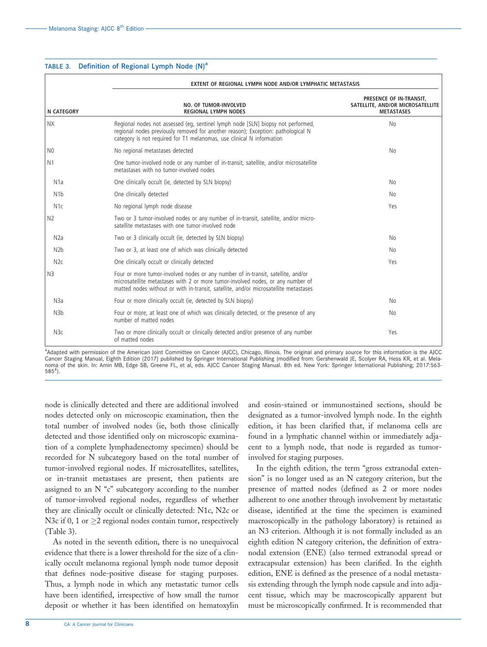|  | TABLE 3. Definition of Regional Lymph Node (N) <sup>a</sup> |  |  |  |  |  |
|--|-------------------------------------------------------------|--|--|--|--|--|
|--|-------------------------------------------------------------|--|--|--|--|--|

|                  | EXTENT OF REGIONAL LYMPH NODE AND/OR LYMPHATIC METASTASIS                                                                                                                                                                                                   |                                                                                  |  |  |  |  |  |
|------------------|-------------------------------------------------------------------------------------------------------------------------------------------------------------------------------------------------------------------------------------------------------------|----------------------------------------------------------------------------------|--|--|--|--|--|
| N CATEGORY       | NO. OF TUMOR-INVOLVED<br><b>REGIONAL LYMPH NODES</b>                                                                                                                                                                                                        | PRESENCE OF IN-TRANSIT,<br>SATELLITE, AND/OR MICROSATELLITE<br><b>METASTASES</b> |  |  |  |  |  |
| <b>NX</b>        | Regional nodes not assessed (eg, sentinel lymph node [SLN] biopsy not performed,<br>regional nodes previously removed for another reason); Exception: pathological N<br>category is not required for T1 melanomas, use clinical N information               | No                                                                               |  |  |  |  |  |
| N <sub>0</sub>   | No regional metastases detected                                                                                                                                                                                                                             | No                                                                               |  |  |  |  |  |
| N <sub>1</sub>   | One tumor-involved node or any number of in-transit, satellite, and/or microsatellite<br>metastases with no tumor-involved nodes                                                                                                                            |                                                                                  |  |  |  |  |  |
| N <sub>1</sub> a | One clinically occult (ie, detected by SLN biopsy)                                                                                                                                                                                                          | N <sub>0</sub>                                                                   |  |  |  |  |  |
| N <sub>1</sub> b | One clinically detected                                                                                                                                                                                                                                     | No                                                                               |  |  |  |  |  |
| N1c              | No regional lymph node disease                                                                                                                                                                                                                              | Yes                                                                              |  |  |  |  |  |
| N <sub>2</sub>   | Two or 3 tumor-involved nodes or any number of in-transit, satellite, and/or micro-<br>satellite metastases with one tumor-involved node                                                                                                                    |                                                                                  |  |  |  |  |  |
| N <sub>2</sub> a | Two or 3 clinically occult (ie, detected by SLN biopsy)                                                                                                                                                                                                     | <b>No</b>                                                                        |  |  |  |  |  |
| N <sub>2</sub> b | Two or 3, at least one of which was clinically detected                                                                                                                                                                                                     | No.                                                                              |  |  |  |  |  |
| N2c              | One clinically occult or clinically detected                                                                                                                                                                                                                | Yes                                                                              |  |  |  |  |  |
| N3               | Four or more tumor-involved nodes or any number of in-transit, satellite, and/or<br>microsatellite metastases with 2 or more tumor-involved nodes, or any number of<br>matted nodes without or with in-transit, satellite, and/or microsatellite metastases |                                                                                  |  |  |  |  |  |
| N3a              | Four or more clinically occult (ie, detected by SLN biopsy)                                                                                                                                                                                                 | N <sub>0</sub>                                                                   |  |  |  |  |  |
| N3b              | Four or more, at least one of which was clinically detected, or the presence of any<br>number of matted nodes                                                                                                                                               | No                                                                               |  |  |  |  |  |
| N <sub>3</sub> c | Two or more clinically occult or clinically detected and/or presence of any number<br>of matted nodes                                                                                                                                                       | Yes                                                                              |  |  |  |  |  |

<sup>a</sup>Adapted with permission of the American Joint Committee on Cancer (AJCC), Chicago, Illinois. The original and primary source for this information is the AJCC Cancer Staging Manual, Eighth Edition (2017) published by Springer International Publishing (modified from: Gershenwald JE, Scolyer RA, Hess KR, et al. Mela-<br>noma of the skin. In: Amin MB, Edge SB, Greene FL, et al, eds. A  $585^{4}$ ).

node is clinically detected and there are additional involved nodes detected only on microscopic examination, then the total number of involved nodes (ie, both those clinically detected and those identified only on microscopic examination of a complete lymphadenectomy specimen) should be recorded for N subcategory based on the total number of tumor-involved regional nodes. If microsatellites, satellites, or in-transit metastases are present, then patients are assigned to an N "c" subcategory according to the number of tumor-involved regional nodes, regardless of whether they are clinically occult or clinically detected: N1c, N2c or N3c if 0, 1 or  $\geq$ 2 regional nodes contain tumor, respectively (Table 3).

As noted in the seventh edition, there is no unequivocal evidence that there is a lower threshold for the size of a clinically occult melanoma regional lymph node tumor deposit that defines node-positive disease for staging purposes. Thus, a lymph node in which any metastatic tumor cells have been identified, irrespective of how small the tumor deposit or whether it has been identified on hematoxylin

and eosin-stained or immunostained sections, should be designated as a tumor-involved lymph node. In the eighth edition, it has been clarified that, if melanoma cells are found in a lymphatic channel within or immediately adjacent to a lymph node, that node is regarded as tumorinvolved for staging purposes.

In the eighth edition, the term "gross extranodal extension" is no longer used as an N category criterion, but the presence of matted nodes (defined as 2 or more nodes adherent to one another through involvement by metastatic disease, identified at the time the specimen is examined macroscopically in the pathology laboratory) is retained as an N3 criterion. Although it is not formally included as an eighth edition N category criterion, the definition of extranodal extension (ENE) (also termed extranodal spread or extracapsular extension) has been clarified. In the eighth edition, ENE is defined as the presence of a nodal metastasis extending through the lymph node capsule and into adjacent tissue, which may be macroscopically apparent but must be microscopically confirmed. It is recommended that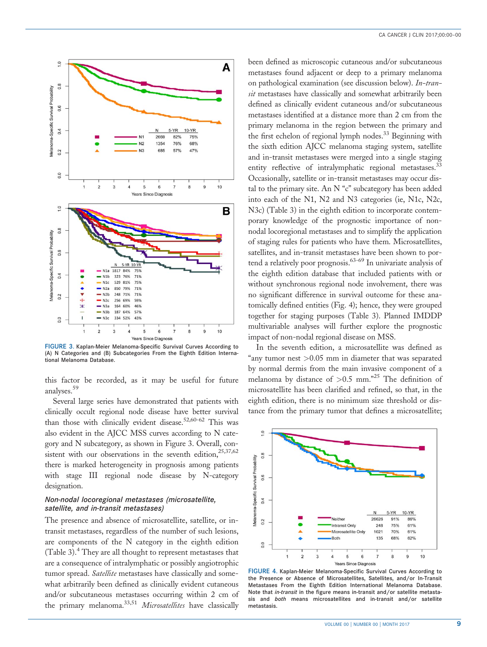

FIGURE 3. Kaplan-Meier Melanoma-Specific Survival Curves According to (A) N Categories and (B) Subcategories From the Eighth Edition International Melanoma Database.

this factor be recorded, as it may be useful for future analyses.59

Several large series have demonstrated that patients with clinically occult regional node disease have better survival than those with clinically evident disease.<sup>52,60-62</sup> This was also evident in the AJCC MSS curves according to N category and N subcategory, as shown in Figure 3. Overall, consistent with our observations in the seventh edition,  $25,37,62$ there is marked heterogeneity in prognosis among patients with stage III regional node disease by N-category designation.

## Non-nodal locoregional metastases (microsatellite, satellite, and in-transit metastases)

The presence and absence of microsatellite, satellite, or intransit metastases, regardless of the number of such lesions, are components of the N category in the eighth edition (Table 3). $4$  They are all thought to represent metastases that are a consequence of intralymphatic or possibly angiotrophic tumor spread. Satellite metastases have classically and somewhat arbitrarily been defined as clinically evident cutaneous and/or subcutaneous metastases occurring within 2 cm of the primary melanoma. $^{33,51}$  *Microsatellites* have classically

been defined as microscopic cutaneous and/or subcutaneous metastases found adjacent or deep to a primary melanoma on pathological examination (see discussion below). In-transit metastases have classically and somewhat arbitrarily been defined as clinically evident cutaneous and/or subcutaneous metastases identified at a distance more than 2 cm from the primary melanoma in the region between the primary and the first echelon of regional lymph nodes.<sup>33</sup> Beginning with the sixth edition AJCC melanoma staging system, satellite and in-transit metastases were merged into a single staging entity reflective of intralymphatic regional metastases.<sup>33</sup> Occasionally, satellite or in-transit metastases may occur distal to the primary site. An N "c" subcategory has been added into each of the N1, N2 and N3 categories (ie, N1c, N2c, N3c) (Table 3) in the eighth edition to incorporate contemporary knowledge of the prognostic importance of nonnodal locoregional metastases and to simplify the application of staging rules for patients who have them. Microsatellites, satellites, and in-transit metastases have been shown to portend a relatively poor prognosis.63-69 In univariate analysis of the eighth edition database that included patients with or without synchronous regional node involvement, there was no significant difference in survival outcome for these anatomically defined entities (Fig. 4); hence, they were grouped together for staging purposes (Table 3). Planned IMDDP multivariable analyses will further explore the prognostic impact of non-nodal regional disease on MSS.

In the seventh edition, a microsatellite was defined as "any tumor nest >0.05 mm in diameter that was separated by normal dermis from the main invasive component of a melanoma by distance of  $>0.5$  mm.<sup>25</sup> The definition of microsatellite has been clarified and refined, so that, in the eighth edition, there is no minimum size threshold or distance from the primary tumor that defines a microsatellite;



FIGURE 4. Kaplan-Meier Melanoma-Specific Survival Curves According to the Presence or Absence of Microsatellites, Satellites, and/or In-Transit Metastases From the Eighth Edition International Melanoma Database. Note that in-transit in the figure means in-transit and/or satellite metastasis and both means microsatellites and in-transit and/or satellite metastasis.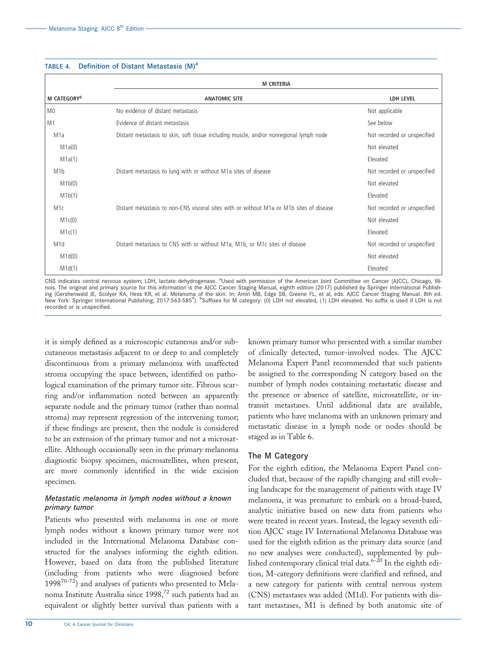| TABLE 4. |  |  |  | Definition of Distant Metastasis (M) <sup>a</sup> |  |
|----------|--|--|--|---------------------------------------------------|--|
|----------|--|--|--|---------------------------------------------------|--|

|                         | <b>M CRITERIA</b>                                                                        |                             |  |  |  |  |  |
|-------------------------|------------------------------------------------------------------------------------------|-----------------------------|--|--|--|--|--|
| M CATEGORY <sup>b</sup> | <b>ANATOMIC SITE</b>                                                                     | <b>LDH LEVEL</b>            |  |  |  |  |  |
| M <sub>0</sub>          | No evidence of distant metastasis                                                        | Not applicable              |  |  |  |  |  |
| M1                      | Evidence of distant metastasis                                                           | See below                   |  |  |  |  |  |
| M <sub>1</sub> a        | Distant metastasis to skin, soft tissue including muscle, and/or nonregional lymph node  | Not recorded or unspecified |  |  |  |  |  |
| M1a(0)                  |                                                                                          | Not elevated                |  |  |  |  |  |
| M1a(1)                  |                                                                                          | Elevated                    |  |  |  |  |  |
| M <sub>1</sub> b        | Distant metastasis to lung with or without M1a sites of disease                          | Not recorded or unspecified |  |  |  |  |  |
| M1b(0)                  |                                                                                          | Not elevated                |  |  |  |  |  |
| M1b(1)                  |                                                                                          | Elevated                    |  |  |  |  |  |
| M1c                     | Distant metastasis to non-CNS visceral sites with or without M1a or M1b sites of disease | Not recorded or unspecified |  |  |  |  |  |
| M1c(0)                  |                                                                                          | Not elevated                |  |  |  |  |  |
| M1c(1)                  |                                                                                          | Elevated                    |  |  |  |  |  |
| M <sub>1</sub> d        | Distant metastasis to CNS with or without M1a, M1b, or M1c sites of disease              | Not recorded or unspecified |  |  |  |  |  |
| M1d(0)                  |                                                                                          | Not elevated                |  |  |  |  |  |
| M1d(1)                  |                                                                                          | Elevated                    |  |  |  |  |  |

CNS indicates central nervous system; LDH, lactate dehydrogenase. <sup>a</sup>Used with permission of the American Joint Committee on Cancer (AJCC), Chicago, Illinois. The original and primary source for this information is the AJCC Cancer Staging Manual, eighth edition (2017) published by Springer International Publish-<br>ing (Gershenwald JE, Scolyer RA, Hess KR, et al. Melanoma of recorded or is unspecified.

it is simply defined as a microscopic cutaneous and/or subcutaneous metastasis adjacent to or deep to and completely discontinuous from a primary melanoma with unaffected stroma occupying the space between, identified on pathological examination of the primary tumor site. Fibrous scarring and/or inflammation noted between an apparently separate nodule and the primary tumor (rather than normal stroma) may represent regression of the intervening tumor; if these findings are present, then the nodule is considered to be an extension of the primary tumor and not a microsatellite. Although occasionally seen in the primary melanoma diagnostic biopsy specimen, microsatellites, when present, are more commonly identified in the wide excision specimen.

## Metastatic melanoma in lymph nodes without a known primary tumor

Patients who presented with melanoma in one or more lymph nodes without a known primary tumor were not included in the International Melanoma Database constructed for the analyses informing the eighth edition. However, based on data from the published literature (including from patients who were diagnosed before 1998 $70-72$ ) and analyses of patients who presented to Melanoma Institute Australia since 1998,72 such patients had an equivalent or slightly better survival than patients with a

10 CA: A Cancer Journal for Clinicians

known primary tumor who presented with a similar number of clinically detected, tumor-involved nodes. The AJCC Melanoma Expert Panel recommended that such patients be assigned to the corresponding N category based on the number of lymph nodes containing metastatic disease and the presence or absence of satellite, microsatellite, or intransit metastases. Until additional data are available, patients who have melanoma with an unknown primary and metastatic disease in a lymph node or nodes should be staged as in Table 6.

## The M Category

For the eighth edition, the Melanoma Expert Panel concluded that, because of the rapidly changing and still evolving landscape for the management of patients with stage IV melanoma, it was premature to embark on a broad-based, analytic initiative based on new data from patients who were treated in recent years. Instead, the legacy seventh edition AJCC stage IV International Melanoma Database was used for the eighth edition as the primary data source (and no new analyses were conducted), supplemented by published contemporary clinical trial data. $6-20$  In the eighth edition, M-category definitions were clarified and refined, and a new category for patients with central nervous system (CNS) metastases was added (M1d). For patients with distant metastases, M1 is defined by both anatomic site of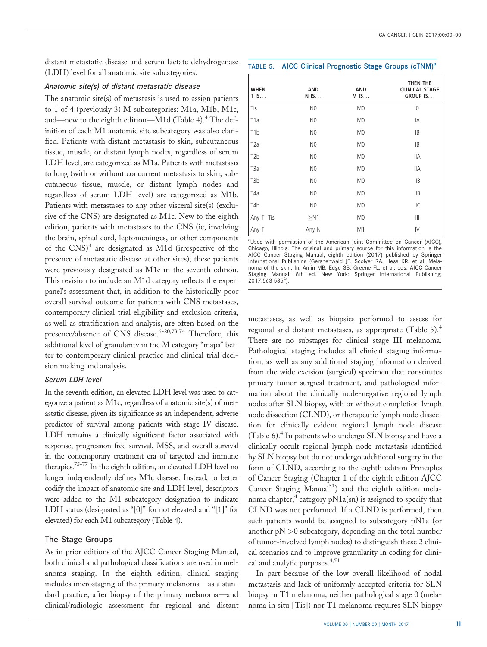distant metastatic disease and serum lactate dehydrogenase (LDH) level for all anatomic site subcategories.

## Anatomic site(s) of distant metastatic disease

The anatomic site(s) of metastasis is used to assign patients to 1 of 4 (previously 3) M subcategories: M1a, M1b, M1c, and—new to the eighth edition—M1d (Table 4).<sup>4</sup> The definition of each M1 anatomic site subcategory was also clarified. Patients with distant metastasis to skin, subcutaneous tissue, muscle, or distant lymph nodes, regardless of serum LDH level, are categorized as M1a. Patients with metastasis to lung (with or without concurrent metastasis to skin, subcutaneous tissue, muscle, or distant lymph nodes and regardless of serum LDH level) are categorized as M1b. Patients with metastases to any other visceral site(s) (exclusive of the CNS) are designated as M1c. New to the eighth edition, patients with metastases to the CNS (ie, involving the brain, spinal cord, leptomeninges, or other components of the  $CNS$ <sup>4</sup> are designated as M1d (irrespective of the presence of metastatic disease at other sites); these patients were previously designated as M1c in the seventh edition. This revision to include an M1d category reflects the expert panel's assessment that, in addition to the historically poor overall survival outcome for patients with CNS metastases, contemporary clinical trial eligibility and exclusion criteria, as well as stratification and analysis, are often based on the presence/absence of CNS disease.<sup>6-20,73,74</sup> Therefore, this additional level of granularity in the M category "maps" better to contemporary clinical practice and clinical trial decision making and analysis.

## Serum LDH level

In the seventh edition, an elevated LDH level was used to categorize a patient as M1c, regardless of anatomic site(s) of metastatic disease, given its significance as an independent, adverse predictor of survival among patients with stage IV disease. LDH remains a clinically significant factor associated with response, progression-free survival, MSS, and overall survival in the contemporary treatment era of targeted and immune therapies.<sup>75-77</sup> In the eighth edition, an elevated LDH level no longer independently defines M1c disease. Instead, to better codify the impact of anatomic site and LDH level, descriptors were added to the M1 subcategory designation to indicate LDH status (designated as "[0]" for not elevated and "[1]" for elevated) for each M1 subcategory (Table 4).

## The Stage Groups

As in prior editions of the AJCC Cancer Staging Manual, both clinical and pathological classifications are used in melanoma staging. In the eighth edition, clinical staging includes microstaging of the primary melanoma—as a standard practice, after biopsy of the primary melanoma—and clinical/radiologic assessment for regional and distant

|  |  |  | TABLE 5. AJCC Clinical Prognostic Stage Groups (cTNM) <sup>a</sup> |  |  |  |
|--|--|--|--------------------------------------------------------------------|--|--|--|
|--|--|--|--------------------------------------------------------------------|--|--|--|

| <b>WHEN</b><br>$T$ IS | <b>AND</b><br>$N$ IS | AND<br>$M$ IS  | THEN THE<br><b>CLINICAL STAGE</b><br>GROUP IS |
|-----------------------|----------------------|----------------|-----------------------------------------------|
| Tis                   | N <sub>0</sub>       | M <sub>0</sub> | 0                                             |
| T <sub>1</sub> a      | N <sub>0</sub>       | M <sub>0</sub> | IA                                            |
| T <sub>1</sub> b      | N <sub>0</sub>       | M <sub>0</sub> | IB                                            |
| T <sub>2</sub> a      | N <sub>0</sub>       | M <sub>0</sub> | IB                                            |
| T <sub>2</sub> b      | N <sub>0</sub>       | M <sub>0</sub> | <b>IIA</b>                                    |
| T <sub>3</sub> a      | N <sub>0</sub>       | M <sub>0</sub> | <b>IIA</b>                                    |
| T3b                   | N <sub>0</sub>       | M <sub>0</sub> | IIB                                           |
| T4a                   | N <sub>0</sub>       | M <sub>0</sub> | IIB                                           |
| T <sub>4</sub> b      | N <sub>0</sub>       | M <sub>0</sub> | IIС                                           |
| Any T, Tis            | $>$ N1               | M <sub>0</sub> | Ш                                             |
| Any T                 | Any N                | M1             | IV                                            |

<sup>a</sup>Used with permission of the American Joint Committee on Cancer (AJCC), Chicago, Illinois. The original and primary source for this information is the AJCC Cancer Staging Manual, eighth edition (2017) published by Springer International Publishing (Gershenwald JE, Scolyer RA, Hess KR, et al. Melanoma of the skin. In: Amin MB, Edge SB, Greene FL, et al, eds. AJCC Cancer<br>Staging Manual. 8th ed. New York: Springer International Publishing;<br>2017:563-585<sup>4</sup>).

metastases, as well as biopsies performed to assess for regional and distant metastases, as appropriate (Table 5).<sup>4</sup> There are no substages for clinical stage III melanoma. Pathological staging includes all clinical staging information, as well as any additional staging information derived from the wide excision (surgical) specimen that constitutes primary tumor surgical treatment, and pathological information about the clinically node-negative regional lymph nodes after SLN biopsy, with or without completion lymph node dissection (CLND), or therapeutic lymph node dissection for clinically evident regional lymph node disease (Table 6).<sup>4</sup> In patients who undergo SLN biopsy and have a clinically occult regional lymph node metastasis identified by SLN biopsy but do not undergo additional surgery in the form of CLND, according to the eighth edition Principles of Cancer Staging (Chapter 1 of the eighth edition AJCC Cancer Staging Manual<sup>51</sup>) and the eighth edition melanoma chapter,<sup>4</sup> category  $pN1a(sn)$  is assigned to specify that CLND was not performed. If a CLND is performed, then such patients would be assigned to subcategory pN1a (or another  $pN > 0$  subcategory, depending on the total number of tumor-involved lymph nodes) to distinguish these 2 clinical scenarios and to improve granularity in coding for clinical and analytic purposes.<sup>4,51</sup>

In part because of the low overall likelihood of nodal metastasis and lack of uniformly accepted criteria for SLN biopsy in T1 melanoma, neither pathological stage 0 (melanoma in situ [Tis]) nor T1 melanoma requires SLN biopsy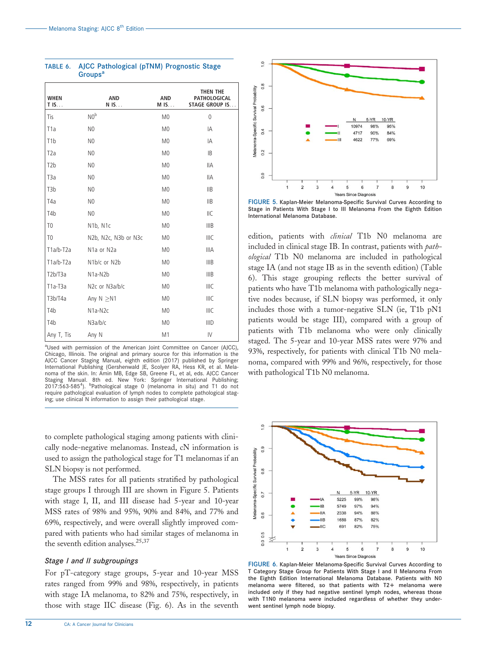| <b>WHEN</b><br>$T$ IS | <b>AND</b><br>N IS                       | <b>AND</b><br>$M$ IS | THEN THE<br>PATHOLOGICAL<br><b>STAGE GROUP IS</b> |
|-----------------------|------------------------------------------|----------------------|---------------------------------------------------|
| Tis                   | NO <sup>b</sup>                          | M <sub>0</sub>       | $\mathbf 0$                                       |
| T <sub>1</sub> a      | N <sub>0</sub>                           | M <sub>0</sub>       | IA                                                |
| T <sub>1</sub> b      | N <sub>0</sub>                           | M <sub>0</sub>       | IA                                                |
| T <sub>2</sub> a      | N <sub>0</sub>                           | M <sub>0</sub>       | ΙB                                                |
| T <sub>2</sub> b      | N <sub>0</sub>                           | M <sub>0</sub>       | <b>IIA</b>                                        |
| T <sub>3</sub> a      | N <sub>0</sub>                           | M <sub>0</sub>       | <b>IIA</b>                                        |
| T3b                   | N <sub>0</sub>                           | M <sub>0</sub>       | IIB                                               |
| T4a                   | N <sub>0</sub>                           | M <sub>0</sub>       | IIB                                               |
| T <sub>4</sub> b      | N <sub>0</sub>                           | M <sub>0</sub>       | IIC                                               |
| T <sub>0</sub>        | N1b, N1c                                 | M <sub>0</sub>       | <b>IIIB</b>                                       |
| T <sub>0</sub>        | N2b, N2c, N3b or N3c                     | M <sub>0</sub>       | IIIC                                              |
| T1a/b-T2a             | N1a or N2a                               | M <sub>0</sub>       | <b>IIIA</b>                                       |
| T1a/b-T2a             | N1b/c or N2b                             | M <sub>0</sub>       | <b>IIIB</b>                                       |
| T2b/T3a               | N1a-N2b                                  | M <sub>0</sub>       | <b>IIIB</b>                                       |
| T1a-T3a               | N <sub>2</sub> c or N <sub>3a</sub> /b/c | M <sub>0</sub>       | IIIC                                              |
| T3b/T4a               | Any $N > N1$                             | M <sub>0</sub>       | <b>IIIC</b>                                       |
| T <sub>4</sub> b      | N1a-N2c                                  | M <sub>0</sub>       | <b>IIIC</b>                                       |
| T <sub>4</sub> b      | N3a/b/c                                  | M <sub>0</sub>       | <b>IIID</b>                                       |
| Any T, Tis            | Any N                                    | M1                   | IV                                                |

TABLE 6. AJCC Pathological (pTNM) Prognostic Stage Groups<sup>a</sup>

aUsed with permission of the American Joint Committee on Cancer (AJCC), Chicago, Illinois. The original and primary source for this information is the AJCC Cancer Staging Manual, eighth edition (2017) published by Springer International Publishing (Gershenwald JE, Scolyer RA, Hess KR, et al. Melanoma of the skin. In: Amin MB, Edge SB, Greene FL, et al, eds. AJCC Cancer Staging Manual. 8th ed. New York: Springer International Publishing;<br>2017:563-585<sup>4</sup>). <sup>b</sup>Pathological stage 0 (melanoma in situ) and T1 do not require pathological evaluation of lymph nodes to complete pathological staging; use clinical N information to assign their pathological stage.

to complete pathological staging among patients with clinically node-negative melanomas. Instead, cN information is used to assign the pathological stage for T1 melanomas if an SLN biopsy is not performed.

The MSS rates for all patients stratified by pathological stage groups I through III are shown in Figure 5. Patients with stage I, II, and III disease had 5-year and 10-year MSS rates of 98% and 95%, 90% and 84%, and 77% and 69%, respectively, and were overall slightly improved compared with patients who had similar stages of melanoma in the seventh edition analyses. $25,37$ 

## Stage I and II subgroupings

For pT-category stage groups, 5-year and 10-year MSS rates ranged from 99% and 98%, respectively, in patients with stage IA melanoma, to 82% and 75%, respectively, in those with stage IIC disease (Fig. 6). As in the seventh



FIGURE 5. Kaplan-Meier Melanoma-Specific Survival Curves According to Stage in Patients With Stage I to III Melanoma From the Eighth Edition International Melanoma Database.

edition, patients with *clinical* T1b N0 melanoma are included in clinical stage IB. In contrast, patients with *path*ological T1b N0 melanoma are included in pathological stage IA (and not stage IB as in the seventh edition) (Table 6). This stage grouping reflects the better survival of patients who have T1b melanoma with pathologically negative nodes because, if SLN biopsy was performed, it only includes those with a tumor-negative SLN (ie, T1b pN1 patients would be stage III), compared with a group of patients with T1b melanoma who were only clinically staged. The 5-year and 10-year MSS rates were 97% and 93%, respectively, for patients with clinical T1b N0 melanoma, compared with 99% and 96%, respectively, for those with pathological T1b N0 melanoma.



FIGURE 6. Kaplan-Meier Melanoma-Specific Survival Curves According to T Category Stage Group for Patients With Stage I and II Melanoma From the Eighth Edition International Melanoma Database. Patients with N0 melanoma were filtered, so that patients with  $T2+$  melanoma were included only if they had negative sentinel lymph nodes, whereas those with T1N0 melanoma were included regardless of whether they underwent sentinel lymph node biopsy.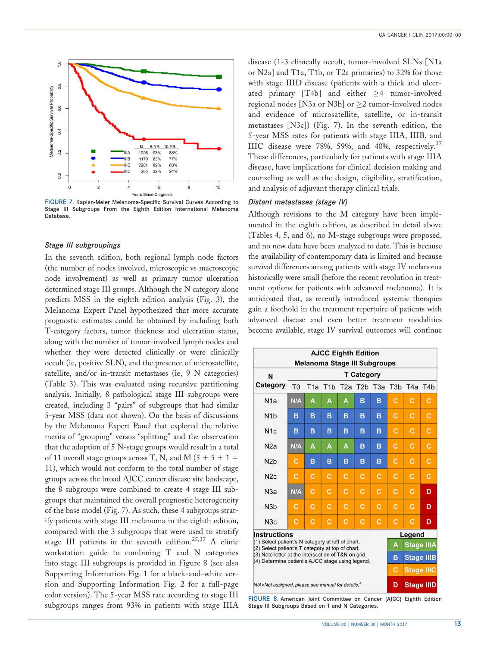

88%



 $\overline{\mathbf{H}}$ 1006  $930/$ 

Stage III Subgroups From the Eighth Edition International Melanoma Database.

## Stage III subgroupings

 $1.0$ 

 $0.8$ 

 $0.4$ 

 $0.2$ 

Melanoma-Specific Survival Probability  $0.6$ 

In the seventh edition, both regional lymph node factors (the number of nodes involved, microscopic vs macroscopic node involvement) as well as primary tumor ulceration determined stage III groups. Although the N category alone predicts MSS in the eighth edition analysis (Fig. 3), the Melanoma Expert Panel hypothesized that more accurate prognostic estimates could be obtained by including both T-category factors, tumor thickness and ulceration status, along with the number of tumor-involved lymph nodes and whether they were detected clinically or were clinically occult (ie, positive SLN), and the presence of microsatellite, satellite, and/or in-transit metastases (ie, 9 N categories) (Table 3). This was evaluated using recursive partitioning analysis. Initially, 8 pathological stage III subgroups were created, including 3 "pairs" of subgroups that had similar 5-year MSS (data not shown). On the basis of discussions by the Melanoma Expert Panel that explored the relative merits of "grouping" versus "splitting" and the observation that the adoption of 5 N-stage groups would result in a total of 11 overall stage groups across T, N, and M ( $5 + 5 + 1 =$ 11), which would not conform to the total number of stage groups across the broad AJCC cancer disease site landscape, the 8 subgroups were combined to create 4 stage III subgroups that maintained the overall prognostic heterogeneity of the base model (Fig. 7). As such, these 4 subgroups stratify patients with stage III melanoma in the eighth edition, compared with the 3 subgroups that were used to stratify stage III patients in the seventh edition.<sup>25,37</sup> A clinic workstation guide to combining T and N categories into stage III subgroups is provided in Figure 8 (see also Supporting Information Fig. 1 for a black-and-white version and Supporting Information Fig. 2 for a full-page color version). The 5-year MSS rate according to stage III subgroups ranges from 93% in patients with stage IIIA

disease (1-3 clinically occult, tumor-involved SLNs [N1a or N2a] and T1a, T1b, or T2a primaries) to 32% for those with stage IIID disease (patients with a thick and ulcerated primary  $[T4b]$  and either  $\geq 4$  tumor-involved regional nodes [N3a or N3b] or  $\geq$ 2 tumor-involved nodes and evidence of microsatellite, satellite, or in-transit metastases [N3c]) (Fig. 7). In the seventh edition, the 5-year MSS rates for patients with stage IIIA, IIIB, and IIIC disease were 78%, 59%, and 40%, respectively.<sup>37</sup> These differences, particularly for patients with stage IIIA disease, have implications for clinical decision making and counseling as well as the design, eligibility, stratification, and analysis of adjuvant therapy clinical trials.

## Distant metastases (stage IV)

Although revisions to the M category have been implemented in the eighth edition, as described in detail above (Tables 4, 5, and 6), no M-stage subgroups were proposed, and no new data have been analyzed to date. This is because the availability of contemporary data is limited and because survival differences among patients with stage IV melanoma historically were small (before the recent revolution in treatment options for patients with advanced melanoma). It is anticipated that, as recently introduced systemic therapies gain a foothold in the treatment repertoire of patients with advanced disease and even better treatment modalities become available, stage IV survival outcomes will continue

| <b>AJCC Eighth Edition</b> |                                                                                                                                                                                                                  |                  |   |                              |   |   |                  |                   |                   |
|----------------------------|------------------------------------------------------------------------------------------------------------------------------------------------------------------------------------------------------------------|------------------|---|------------------------------|---|---|------------------|-------------------|-------------------|
|                            |                                                                                                                                                                                                                  |                  |   | Melanoma Stage III Subgroups |   |   |                  |                   |                   |
| N                          | <b>T Category</b>                                                                                                                                                                                                |                  |   |                              |   |   |                  |                   |                   |
| Category                   | T <sub>0</sub>                                                                                                                                                                                                   | T <sub>1</sub> a |   | T1b T2a T2b T3a              |   |   | T <sub>3</sub> b | T <sub>4</sub> a  | T <sub>4</sub> b  |
| N1a                        | N/A                                                                                                                                                                                                              | A                | A | A                            | B | B | c                | c                 | с                 |
| N <sub>1</sub> b           | B                                                                                                                                                                                                                | B                | B | в                            | в | B | c                | c                 | с                 |
| N <sub>1</sub> c           | в                                                                                                                                                                                                                | в                | в | в                            | в | в | с                | c                 | c                 |
| N <sub>2</sub> a           | N/A                                                                                                                                                                                                              | A                | A | A                            | в | в | c                | c                 | c                 |
| N <sub>2</sub> b           | c                                                                                                                                                                                                                | B                | B | в                            | B | B | c                | c                 | с                 |
| N2c                        | c                                                                                                                                                                                                                | c                | c | c                            | C | c | c                | c                 | с                 |
| N3a                        | N/A                                                                                                                                                                                                              | C                | с | C                            | c | c | c                | c                 | D                 |
| N <sub>3</sub> b           | c                                                                                                                                                                                                                | c                | C | c                            | c | c | c                | C                 | D                 |
| N3c                        | с                                                                                                                                                                                                                | с                | с | с                            | c | с | с                | c                 | D                 |
| <b>Instructions</b>        |                                                                                                                                                                                                                  |                  |   |                              |   |   |                  | Legend            |                   |
|                            | (1) Select patient's N category at left of chart.<br>(2) Select patient's T category at top of chart.<br>(3) Note letter at the intersection of T&N on grid.<br>(4) Determine patient's AJCC stage using legend. |                  |   |                              |   |   | A                | <b>Stage IIIA</b> |                   |
|                            |                                                                                                                                                                                                                  |                  |   |                              |   |   | B                |                   | <b>Stage IIIB</b> |
|                            |                                                                                                                                                                                                                  |                  |   |                              |   |   | с                | <b>Stage IIIC</b> |                   |
|                            | D<br><b>Stage IIID</b><br>N/A=Not assigned, please see manual for details. <sup>4</sup>                                                                                                                          |                  |   |                              |   |   |                  |                   |                   |

FIGURE 8. American Joint Committee on Cancer (AJCC) Eighth Edition Stage III Subgroups Based on T and N Categories.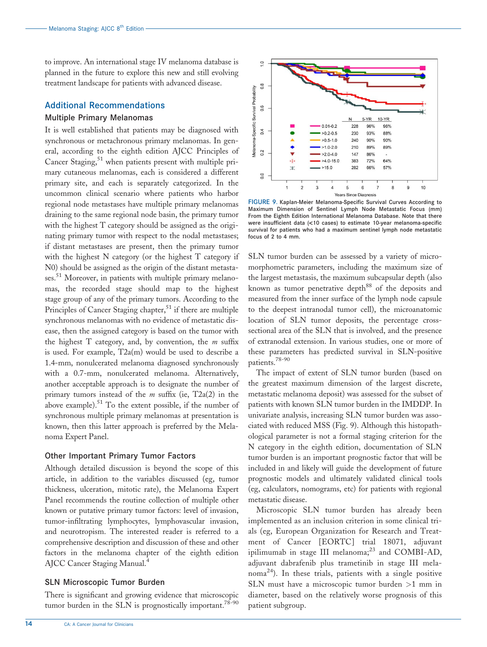to improve. An international stage IV melanoma database is planned in the future to explore this new and still evolving treatment landscape for patients with advanced disease.

#### Additional Recommendations

## Multiple Primary Melanomas

It is well established that patients may be diagnosed with synchronous or metachronous primary melanomas. In general, according to the eighth edition AJCC Principles of Cancer Staging, $51$  when patients present with multiple primary cutaneous melanomas, each is considered a different primary site, and each is separately categorized. In the uncommon clinical scenario where patients who harbor regional node metastases have multiple primary melanomas draining to the same regional node basin, the primary tumor with the highest T category should be assigned as the originating primary tumor with respect to the nodal metastases; if distant metastases are present, then the primary tumor with the highest N category (or the highest T category if N0) should be assigned as the origin of the distant metastases.<sup>51</sup> Moreover, in patients with multiple primary melanomas, the recorded stage should map to the highest stage group of any of the primary tumors. According to the Principles of Cancer Staging chapter,  $51$  if there are multiple synchronous melanomas with no evidence of metastatic disease, then the assigned category is based on the tumor with the highest  $T$  category, and, by convention, the  $m$  suffix is used. For example, T2a(m) would be used to describe a 1.4-mm, nonulcerated melanoma diagnosed synchronously with a 0.7-mm, nonulcerated melanoma. Alternatively, another acceptable approach is to designate the number of primary tumors instead of the  $m$  suffix (ie,  $T2a(2)$  in the above example).<sup>51</sup> To the extent possible, if the number of synchronous multiple primary melanomas at presentation is known, then this latter approach is preferred by the Melanoma Expert Panel.

## Other Important Primary Tumor Factors

Although detailed discussion is beyond the scope of this article, in addition to the variables discussed (eg, tumor thickness, ulceration, mitotic rate), the Melanoma Expert Panel recommends the routine collection of multiple other known or putative primary tumor factors: level of invasion, tumor-infiltrating lymphocytes, lymphovascular invasion, and neurotropism. The interested reader is referred to a comprehensive description and discussion of these and other factors in the melanoma chapter of the eighth edition AJCC Cancer Staging Manual.4

## SLN Microscopic Tumor Burden

There is significant and growing evidence that microscopic tumor burden in the SLN is prognostically important.<sup>78-90</sup>



FIGURE 9. Kaplan-Meier Melanoma-Specific Survival Curves According to Maximum Dimension of Sentinel Lymph Node Metastatic Focus (mm) From the Eighth Edition International Melanoma Database. Note that there were insufficient data (<10 cases) to estimate 10-year melanoma-specific survival for patients who had a maximum sentinel lymph node metastatic focus of 2 to 4 mm.

SLN tumor burden can be assessed by a variety of micromorphometric parameters, including the maximum size of the largest metastasis, the maximum subcapsular depth (also known as tumor penetrative depth<sup>88</sup> of the deposits and measured from the inner surface of the lymph node capsule to the deepest intranodal tumor cell), the microanatomic location of SLN tumor deposits, the percentage crosssectional area of the SLN that is involved, and the presence of extranodal extension. In various studies, one or more of these parameters has predicted survival in SLN-positive patients.78-90

The impact of extent of SLN tumor burden (based on the greatest maximum dimension of the largest discrete, metastatic melanoma deposit) was assessed for the subset of patients with known SLN tumor burden in the IMDDP. In univariate analysis, increasing SLN tumor burden was associated with reduced MSS (Fig. 9). Although this histopathological parameter is not a formal staging criterion for the N category in the eighth edition, documentation of SLN tumor burden is an important prognostic factor that will be included in and likely will guide the development of future prognostic models and ultimately validated clinical tools (eg, calculators, nomograms, etc) for patients with regional metastatic disease.

Microscopic SLN tumor burden has already been implemented as an inclusion criterion in some clinical trials (eg, European Organization for Research and Treatment of Cancer [EORTC] trial 18071, adjuvant ipilimumab in stage III melanoma;<sup>23</sup> and COMBI-AD, adjuvant dabrafenib plus trametinib in stage III mela $noma<sup>24</sup>$ ). In these trials, patients with a single positive SLN must have a microscopic tumor burden >1 mm in diameter, based on the relatively worse prognosis of this patient subgroup.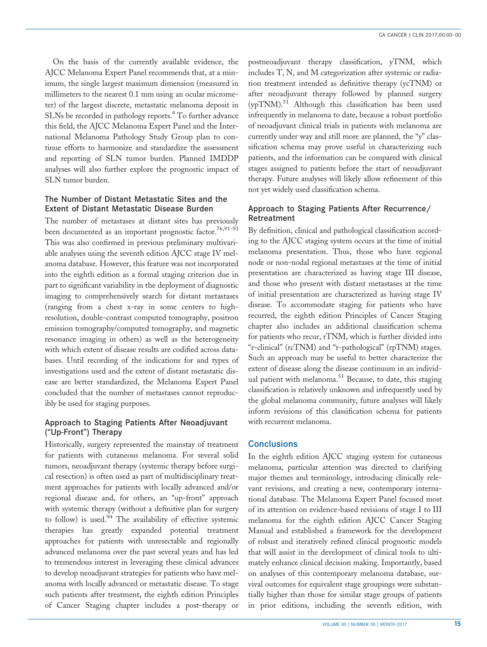On the basis of the currently available evidence, the AJCC Melanoma Expert Panel recommends that, at a minimum, the single largest maximum dimension (measured in millimeters to the nearest 0.1 mm using an ocular micrometer) of the largest discrete, metastatic melanoma deposit in SLNs be recorded in pathology reports.<sup>4</sup> To further advance this field, the AJCC Melanoma Expert Panel and the International Melanoma Pathology Study Group plan to continue efforts to harmonize and standardize the assessment and reporting of SLN tumor burden. Planned IMDDP analyses will also further explore the prognostic impact of SLN tumor burden.

## The Number of Distant Metastatic Sites and the Extent of Distant Metastatic Disease Burden

The number of metastases at distant sites has previously been documented as an important prognostic factor.<sup>76,91-93</sup> This was also confirmed in previous preliminary multivariable analyses using the seventh edition AJCC stage IV melanoma database. However, this feature was not incorporated into the eighth edition as a formal staging criterion due in part to significant variability in the deployment of diagnostic imaging to comprehensively search for distant metastases (ranging from a chest x-ray in some centers to highresolution, double-contrast computed tomography, positron emission tomography/computed tomography, and magnetic resonance imaging in others) as well as the heterogeneity with which extent of disease results are codified across databases. Until recording of the indications for and types of investigations used and the extent of distant metastatic disease are better standardized, the Melanoma Expert Panel concluded that the number of metastases cannot reproducibly be used for staging purposes.

## Approach to Staging Patients After Neoadjuvant ("Up-Front") Therapy

Historically, surgery represented the mainstay of treatment for patients with cutaneous melanoma. For several solid tumors, neoadjuvant therapy (systemic therapy before surgical resection) is often used as part of multidisciplinary treatment approaches for patients with locally advanced and/or regional disease and, for others, an "up-front" approach with systemic therapy (without a definitive plan for surgery to follow) is used. $94$  The availability of effective systemic therapies has greatly expanded potential treatment approaches for patients with unresectable and regionally advanced melanoma over the past several years and has led to tremendous interest in leveraging these clinical advances to develop neoadjuvant strategies for patients who have melanoma with locally advanced or metastatic disease. To stage such patients after treatment, the eighth edition Principles of Cancer Staging chapter includes a post-therapy or

postneoadjuvant therapy classification, yTNM, which includes T, N, and M categorization after systemic or radiation treatment intended as definitive therapy (ycTNM) or after neoadjuvant therapy followed by planned surgery (ypTNM). $51$  Although this classification has been used infrequently in melanoma to date, because a robust portfolio of neoadjuvant clinical trials in patients with melanoma are currently under way and still more are planned, the "y" classification schema may prove useful in characterizing such patients, and the information can be compared with clinical stages assigned to patients before the start of neoadjuvant therapy. Future analyses will likely allow refinement of this not yet widely used classification schema.

## Approach to Staging Patients After Recurrence/ Retreatment

By definition, clinical and pathological classification according to the AJCC staging system occurs at the time of initial melanoma presentation. Thus, those who have regional node or non-nodal regional metastases at the time of initial presentation are characterized as having stage III disease, and those who present with distant metastases at the time of initial presentation are characterized as having stage IV disease. To accommodate staging for patients who have recurred, the eighth edition Principles of Cancer Staging chapter also includes an additional classification schema for patients who recur, rTNM, which is further divided into "r-clinical" (rcTNM) and "r-pathological" (rpTNM) stages. Such an approach may be useful to better characterize the extent of disease along the disease continuum in an individual patient with melanoma.<sup>51</sup> Because, to date, this staging classification is relatively unknown and infrequently used by the global melanoma community, future analyses will likely inform revisions of this classification schema for patients with recurrent melanoma.

## **Conclusions**

In the eighth edition AJCC staging system for cutaneous melanoma, particular attention was directed to clarifying major themes and terminology, introducing clinically relevant revisions, and creating a new, contemporary international database. The Melanoma Expert Panel focused most of its attention on evidence-based revisions of stage I to III melanoma for the eighth edition AJCC Cancer Staging Manual and established a framework for the development of robust and iteratively refined clinical prognostic models that will assist in the development of clinical tools to ultimately enhance clinical decision making. Importantly, based on analyses of this contemporary melanoma database, survival outcomes for equivalent stage groupings were substantially higher than those for similar stage groups of patients in prior editions, including the seventh edition, with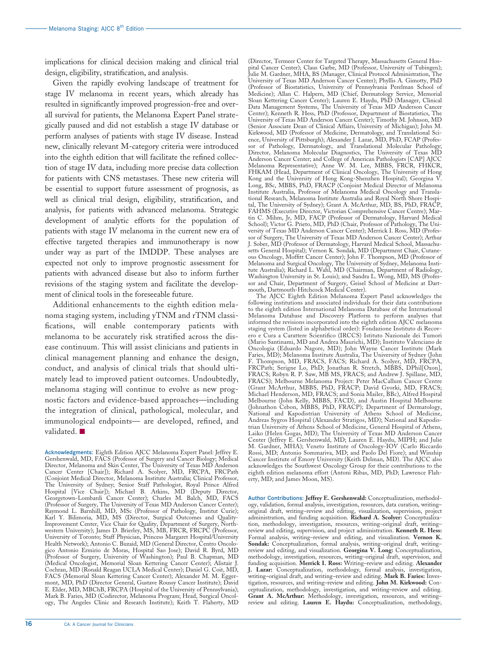implications for clinical decision making and clinical trial design, eligibility, stratification, and analysis.

Given the rapidly evolving landscape of treatment for stage IV melanoma in recent years, which already has resulted in significantly improved progression-free and overall survival for patients, the Melanoma Expert Panel strategically paused and did not establish a stage IV database or perform analyses of patients with stage IV disease. Instead new, clinically relevant M-category criteria were introduced into the eighth edition that will facilitate the refined collection of stage IV data, including more precise data collection for patients with CNS metastases. These new criteria will be essential to support future assessment of prognosis, as well as clinical trial design, eligibility, stratification, and analysis, for patients with advanced melanoma. Strategic development of analytic efforts for the population of patients with stage IV melanoma in the current new era of effective targeted therapies and immunotherapy is now under way as part of the IMDDP. These analyses are expected not only to improve prognostic assessment for patients with advanced disease but also to inform further revisions of the staging system and facilitate the development of clinical tools in the foreseeable future.

Additional enhancements to the eighth edition melanoma staging system, including yTNM and rTNM classifications, will enable contemporary patients with melanoma to be accurately risk stratified across the disease continuum. This will assist clinicians and patients in clinical management planning and enhance the design, conduct, and analysis of clinical trials that should ultimately lead to improved patient outcomes. Undoubtedly, melanoma staging will continue to evolve as new prognostic factors and evidence-based approaches—including the integration of clinical, pathological, molecular, and immunological endpoints— are developed, refined, and validated.  $\blacksquare$ 

(Director, Termeer Center for Targeted Therapy, Massachusetts General Hospital Cancer Center); Claus Garbe, MD (Professor, University of Tubingen); Julie M. Gardner, MHA, BS (Manager, Clinical Protocol Administration, The University of Texas MD Anderson Cancer Center); Phyllis A. Gimotty, PhD (Professor of Biostatistics, University of Pennsylvania Perelman School of Medicine); Allan C. Halpern, MD (Chief, Dermatology Service, Memorial Sloan Kettering Cancer Center); Lauren E. Haydu, PhD (Manager, Clinical Data Management Systems, The University of Texas MD Anderson Cancer Center); Kenneth R. Hess, PhD (Professor, Department of Biostatistics, The University of Texas MD Anderson Cancer Center); Timothy M. Johnson, MD (Senior Associate Dean of Clinical Affairs, University of Michigan); John M. Kirkwood, MD (Professor of Medicine, Dermatology, and Translational Science, University of Pittsburgh); Alexander J. Lazar, MD, PhD, FCAP (Professor of Pathology, Dermatology, and Translational Molecular Pathology; Director, Melanoma Molecular Diagnostics, The University of Texas MD Anderson Cancer Center; and College of American Pathologists [CAP] AJCC Melanoma Representative); Anne W. M. Lee, MBBS, FRCR, FHKCR, FHKAM (Head, Department of Clinical Oncology, The University of Hong Kong and the University of Hong Kong-Shenzhen Hospital); Georgina V. Long, BSc, MBBS, PhD, FRACP (Conjoint Medical Director of Melanoma Institute Australia, Professor of Melanoma Medical Oncology and Translational Research, Melanoma Institute Australia and Royal North Shore Hospital, The University of Sydney); Grant A. McArthur, MD, BS, PhD, FRACP, FAHMS (Executive Director, Victorian Comprehensive Cancer Centre); Martin C. Mihm, Jr, MD, FACP (Professor of Dermatology, Harvard Medical School); Victor G. Prieto, MD, PhD (Chair, Professor of Pathology, The University of Texas MD Anderson Cancer Center); Merrick I. Ross, MD (Professor of Surgery, The University of Texas MD Anderson Cancer Center); Arthur J. Sober, MD (Professor of Dermatology, Harvard Medical School, Massachusetts General Hospital); Vernon K. Sondak, MD (Department Chair, Cutaneous Oncology, Moffitt Cancer Center); John F. Thompson, MD (Professor of Melanoma and Surgical Oncology, The University of Sydney, Melanoma Institute Australia); Richard L. Wahl, MD (Chairman, Department of Radiology, Washington University in St. Louis); and Sandra L. Wong, MD, MS (Professor and Chair, Department of Surgery, Geisel School of Medicine at Dartmouth, Dartmouth-Hitchcock Medical Center).

The AJCC Eighth Edition Melanoma Expert Panel acknowledges the following institutions and associated individuals for their data contributions to the eighth edition International Melanoma Database of the International Melanoma Database and Discovery Platform to perform analyses that informed the revisions incorporated into the eighth edition AJCC melanoma staging system (listed in alphabetical order): Fondazione Instituto di Recovero e Cura a Carattere Scientifico (IRCCS) Istituto Nazionale dei Tumori (Mario Santinami, MD and Andrea Maurichi, MD); Instituto Valenciano de Oncologia (Eduardo Nagore, MD); John Wayne Cancer Institute (Mark Faries, MD); Melanoma Institute Australia, The University of Sydney (John F. Thompson, MD, FRACS, FACS; Richard A. Scolyer, MD, FRCPA, FRCPath; Serigne Lo, PhD; Jonathan R. Stretch, MBBS, DPhil[Oxon], FRACS; Robyn R. P. Saw, MB MS, FRACS; and Andrew J. Spillane, MD, FRACS); Melbourne Melanoma Project: Peter MacCallum Cancer Centre (Grant McArthur, MBBS, PhD, FRACP; David Gyorki, MD, FRACS; Michael Henderson, MD, FRACS; and Sonia Mailer, BBc), Alfred Hospital Melbourne (John Kelly, MBBS, FACD), and Austin Hospital Melbourne (Johnathon Cebon, MBBS, PhD, FRACP); Department of Dermatology, National and Kapodistrian University of Athens School of Medicine, Andreas Sygros Hospital (Alexander Stratigos, MD); National and Kapodistrian University of Athens School of Medicine, General Hospital of Athens, Laiko (Helen Gogas, MD); The University of Texas MD Anderson Cancer Center (Jeffrey E. Gershenwald, MD; Lauren E. Haydu, MIPH; and Julie M. Gardner, MHA); Veneto Institute of Oncology-IOV (Carlo Riccardo Rossi, MD; Antonio Sommariva, MD; and Paolo Del Fiore); and Winship Cancer Institute of Emory University (Keith Delman, MD). The AJCC also acknowledges the Southwest Oncology Group for their contributions to the eighth edition melanoma effort (Antoni Ribas, MD, PhD; Lawrence Flaherty, MD; and James Moon, MS).

Author Contributions: Jeffrey E. Gershenwald: Conceptualization, methodology, validation, formal analysis, investigation, resources, data curation, writing– original draft, writing–review and editing, visualization, supervision, project administration, and funding acquisition. Richard A. Scolyer: Conceptualization, methodology, investigation, resources, writing–original draft, writing– review and editing, supervision, and project administration. Kenneth R. Hess: Formal analysis, writing–review and editing, and visualization. Vernon K. Sondak: Conceptualization, formal analysis, writing–original draft, writing– review and editing, and visualization. Georgina V. Long: Conceptualization, methodology, investigation, resources, writing–original draft, supervision, and funding acquisition. **Merrick I. Ross:** Writing–review and editing. **Alexander** J. Lazar: Conceptualization, methodology, formal analysis, investigation, writing–original draft, and writing–review and editing. Mark B. Faries: Investigation, resources, and writing–review and editing. **John M. Kirkwood:** Conceptualization, methodology, investigation, and writing–review and editing. Grant A. McArthur: Methodology, investigation, resources, and writingreview and editing. **Lauren E. Haydu:** Conceptualization, methodology,

Acknowledgments: Eighth Edition AJCC Melanoma Expert Panel: Jeffrey E. Gershenwald, MD, FACS (Professor of Surgery and Cancer Biology; Medical Director, Melanoma and Skin Center, The University of Texas MD Anderson Cancer Center [Chair]); Richard A. Scolyer, MD, FRCPA, FRCPath (Conjoint Medical Director, Melanoma Institute Australia; Clinical Professor, The University of Sydney; Senior Staff Pathologist, Royal Prince Alfred Hospital [Vice Chair]); Michael B. Atkins, MD (Deputy Director, Georgetown-Lombardi Cancer Center); Charles M. Balch, MD, FACS (Professor of Surgery, The University of Texas MD Anderson Cancer Center); Raymond L. Barnhill, MD, MSc (Professor of Pathology, Institut Curie); Karl Y. Bilimoria, MD, MS (Director, Surgical Outcomes and Quality-Improvement Center, Vice Chair for Quality, Department of Surgery, Northwestern University); James D. Brierley, MS, MB, FRCR, FRCPC (Professor, University of Toronto; Staff Physician, Princess Margaret Hospital/University Health Network); Antonio C. Buzaid, MD (General Director, Centro Oncologico Antonio Ermirio de Moras, Hospital Sao Jose); David R. Byrd, MD (Professor of Surgery, University of Washington); Paul B. Chapman, MD (Medical Oncologist, Memorial Sloan Kettering Cancer Center); Alistair J. Cochran, MD (Ronald Reagan UCLA Medical Center); Daniel G. Coit, MD, FACS (Memorial Sloan Kettering Cancer Center); Alexander M. M. Eggermont, MD, PhD (Director General, Gustave Roussy Cancer Institute); David E. Elder, MD, MBChB, FRCPA (Hospital of the University of Pennsylvania); Mark B. Faries, MD (Codirector, Melanoma Program; Head, Surgical Oncology, The Angeles Clinic and Research Institute); Keith T. Flaherty, MD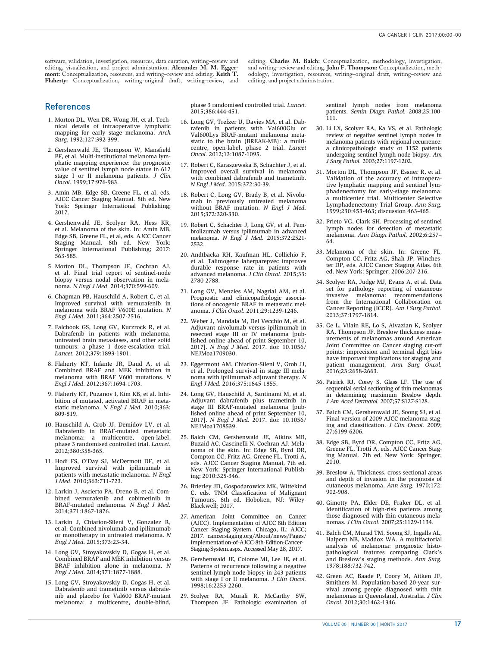software, validation, investigation, resources, data curation, writing–review and editing, visualization, and project administration. Alexander M. M. Eggermont: Conceptualization, resources, and writing–review and editing. Keith T. Flaherty: Conceptualization, writing-original draft, writing-review, and

editing. Charles M. Balch: Conceptualization, methodology, investigation, and writing–review and editing. John F. Thompson: Conceptualization, methodology, investigation, resources, writing–original draft, writing–review and editing, and project administration.

## References

- 1. Morton DL, Wen DR, Wong JH, et al. Technical details of intraoperative lymphatic mapping for early stage melanoma. Arch Surg. 1992;127:392-399.
- 2. Gershenwald JE, Thompson W, Mansfield PF, et al. Multi-institutional melanoma lymphatic mapping experience: the prognostic value of sentinel lymph node status in 612 stage I or II melanoma patients. J Clin Oncol. 1999;17:976-983.
- 3. Amin MB, Edge SB, Greene FL, et al, eds. AJCC Cancer Staging Manual. 8th ed. New York: Springer International Publishing; 2017.
- 4. Gershenwald JE, Scolyer RA, Hess KR, et al. Melanoma of the skin. In: Amin MB, Edge SB, Greene FL, et al, eds. AJCC Cancer Staging Manual. 8th ed. New York: Springer International Publishing; 2017: 563-585.
- 5. Morton DL, Thompson JF, Cochran AJ, et al. Final trial report of sentinel-node biopsy versus nodal observation in melanoma. N Engl J Med. 2014;370:599-609.
- 6. Chapman PB, Hauschild A, Robert C, et al. Improved survival with vemurafenib in melanoma with BRAF V600E mutation. N Engl J Med. 2011;364:2507-2516.
- 7. Falchook GS, Long GV, Kurzrock R, et al. Dabrafenib in patients with melanoma, untreated brain metastases, and other solid tumours: a phase 1 dose-escalation trial. Lancet. 2012;379:1893-1901.
- 8. Flaherty KT, Infante JR, Daud A, et al. Combined BRAF and MEK inhibition in melanoma with BRAF V600 mutations. N Engl J Med. 2012;367:1694-1703.
- 9. Flaherty KT, Puzanov I, Kim KB, et al. Inhibition of mutated, activated BRAF in metastatic melanoma. N Engl J Med. 2010;363: 809-819.
- 10. Hauschild A, Grob JJ, Demidov LV, et al. Dabrafenib in BRAF-mutated metastatic melanoma: a multicentre, open-label, phase 3 randomised controlled trial. Lancet. 2012;380:358-365.
- 11. Hodi FS, O'Day SJ, McDermott DF, et al. Improved survival with ipilimumab in patients with metastatic melanoma. N Engl J Med. 2010;363:711-723.
- 12. Larkin J, Ascierto PA, Dreno B, et al. Combined vemurafenib and cobimetinib in BRAF-mutated melanoma. N Engl J Med. 2014;371:1867-1876.
- 13. Larkin J, Chiarion-Sileni V, Gonzalez R, et al. Combined nivolumab and ipilimumab or monotherapy in untreated melanoma. N Engl J Med. 2015;373:23-34.
- 14. Long GV, Stroyakovskiy D, Gogas H, et al. Combined BRAF and MEK inhibition versus BRAF inhibition alone in melanoma. N Engl J Med. 2014;371:1877-1888.
- 15. Long GV, Stroyakovskiy D, Gogas H, et al. Dabrafenib and trametinib versus dabrafenib and placebo for Val600 BRAF-mutant melanoma: a multicentre, double-blind,

phase 3 randomised controlled trial. Lancet. 2015;386:444-451.

- 16. Long GV, Trefzer U, Davies MA, et al. Dabrafenib in patients with Val600Glu or Val600Lys BRAF-mutant melanoma metastatic to the brain (BREAK-MB): a multicentre, open-label, phase 2 trial. Lancet Oncol. 2012;13:1087-1095.
- 17. Robert C, Karaszewska B, Schachter J, et al. Improved overall survival in melanoma with combined dabrafenib and trametinib. N Engl J Med. 2015;372:30-39.
- 18. Robert C, Long GV, Brady B, et al. Nivolumab in previously untreated melanoma without BRAF mutation. N Engl J Med. 2015;372:320-330.
- 19. Robert C, Schachter J, Long GV, et al. Pembrolizumab versus ipilimumab in advanced melanoma. N Engl J Med. 2015;372:2521-2532.
- 20. Andtbacka RH, Kaufman HL, Collichio F, et al. Talimogene laherparepvec improves durable response rate in patients with advanced melanoma. J Clin Oncol. 2015;33: 2780-2788.
- 21. Long GV, Menzies AM, Nagrial AM, et al. Prognostic and clinicopathologic associations of oncogenic BRAF in metastatic melanoma. J Clin Oncol. 2011;29:1239-1246.
- 22. Weber J, Mandala M, Del Vecchio M, et al. Adjuvant nivolumab versus ipilimumab in resected stage III or IV melanoma [published online ahead of print September 10, 2017]. N Engl J Med. 2017. doi: [10.1056/](info:doi/10.1056/NEJMoa1709030) [NEJMoa1709030.](info:doi/10.1056/NEJMoa1709030)
- 23. Eggermont AM, Chiarion-Sileni V, Grob JJ, et al. Prolonged survival in stage III melanoma with ipilimumab adjuvant therapy. N Engl J Med. 2016;375:1845-1855.
- 24. Long GV, Hauschild A, Santinami M, et al. Adjuvant dabrafenib plus trametinib in stage III BRAF-mutated melanoma [published online ahead of print September 10, 2017]. N Engl J Med. 2017. doi: [10.1056/](info:doi/10.1056/NEJMoa1708539) [NEJMoa1708539.](info:doi/10.1056/NEJMoa1708539)
- 25. Balch CM, Gershenwald JE, Atkins MB, Buzaid AC, Cascinelli N, Cochran AJ. Melanoma of the skin. In: Edge SB, Byrd DR, Compton CC, Fritz AG, Greene FL, Trotti A, eds. AJCC Cancer Staging Manual, 7th ed. New York: Springer International Publishing; 2010:325-346.
- 26. Brierley JD, Gospodarowicz MK, Wittekind C, eds. TNM Classification of Malignant Tumours. 8th ed. Hoboken, NJ: Wiley-Blackwell; 2017.
- 27. American Joint Committee on Cancer (AJCC). Implementation of AJCC 8th Edition Cancer Staging System. Chicago, IL: AJCC; 2017. [cancerstaging.org/About/news/Pages/](http://cancerstaging.org/About/news/Pages/Implementation-of-AJCC-0000th-Edition-Cancer-Staging-System.aspx) [Implementation-of-AJCC-8th-Edition-Cancer-](http://cancerstaging.org/About/news/Pages/Implementation-of-AJCC-0000th-Edition-Cancer-Staging-System.aspx)[Staging-System.aspx](http://cancerstaging.org/About/news/Pages/Implementation-of-AJCC-0000th-Edition-Cancer-Staging-System.aspx). Accessed May 28, 2017.
- 28. Gershenwald JE, Colome MI, Lee JE, et al. Patterns of recurrence following a negative sentinel lymph node biopsy in 243 patients with stage I or II melanoma. J Clin Oncol. 1998;16:2253-2260.
- 29. Scolyer RA, Murali R, McCarthy SW, Thompson JF. Pathologic examination of

sentinel lymph nodes from melanoma patients. Semin Diagn Pathol. 2008;25:100- 111.

- 30. Li LX, Scolyer RA, Ka VS, et al. Pathologic review of negative sentinel lymph nodes in melanoma patients with regional recurrence: a clinicopathologic study of 1152 patients undergoing sentinel lymph node biopsy. Am J Surg Pathol. 2003;27:1197-1202.
- 31. Morton DL, Thompson JF, Essner R, et al. Validation of the accuracy of intraoperative lymphatic mapping and sentinel lymphadenectomy for early-stage melanoma: a multicenter trial. Multicenter Selective Lymphadenectomy Trial Group. Ann Surg. 1999;230:453-463; discussion 463-465.
- 32. Prieto VG, Clark SH. Processing of sentinel lymph nodes for detection of metastatic melanoma. Ann Diagn Pathol. 2002;6:257– 64.
- 33. Melanoma of the skin. In: Greene FL, Compton CC, Fritz AG, Shah JP, Winchester DP, eds. AJCC Cancer Staging Atlas. 6th ed. New York: Springer; 2006:207-216.
- 34. Scolyer RA, Judge MJ, Evans A, et al. Data set for pathology reporting of cutaneous invasive melanoma: recommendations from the International Collaboration on Cancer Reporting (ICCR). Am J Surg Pathol. 2013;37:1797-1814.
- 35. Ge L, Vilain RE, Lo S, Aivazian K, Scolyer RA, Thompson JF. Breslow thickness measurements of melanomas around American Joint Committee on Cancer staging cut-off points: imprecision and terminal digit bias have important implications for staging and patient management. Ann Surg Oncol. 2016;23:2658-2663.
- 36. Patrick RJ, Corey S, Glass LF. The use of sequential serial sectioning of thin melanomas in determining maximum Breslow depth. J Am Acad Dermatol. 2007;57:S127-S128.
- 37. Balch CM, Gershenwald JE, Soong SJ, et al. Final version of 2009 AJCC melanoma staging and classification. *J Clin Oncol.* 2009; 27:6199-6206.
- 38. Edge SB, Byrd DR, Compton CC, Fritz AG, Greene FL, Trotti A, eds. AJCC Cancer Staging Manual. 7th ed. New York: Springer; 2010.
- 39. Breslow A. Thickness, cross-sectional areas and depth of invasion in the prognosis of cutaneous melanoma. Ann Surg. 1970;172: 902-908.
- 40. Gimotty PA, Elder DE, Fraker DL, et al. Identification of high-risk patients among those diagnosed with thin cutaneous melanomas. J Clin Oncol. 2007;25:1129-1134.
- 41. Balch CM, Murad TM, Soong SJ, Ingalls AL, Halpern NB, Maddox WA. A multifactorial analysis of melanoma: prognostic histopathological features comparing Clark's and Breslow's staging methods. Ann Surg. 1978;188:732-742.
- 42. Green AC, Baade P, Coory M, Aitken JF, Smithers M. Population-based 20-year survival among people diagnosed with thin melanomas in Queensland, Australia. J Clin Oncol. 2012;30:1462-1346.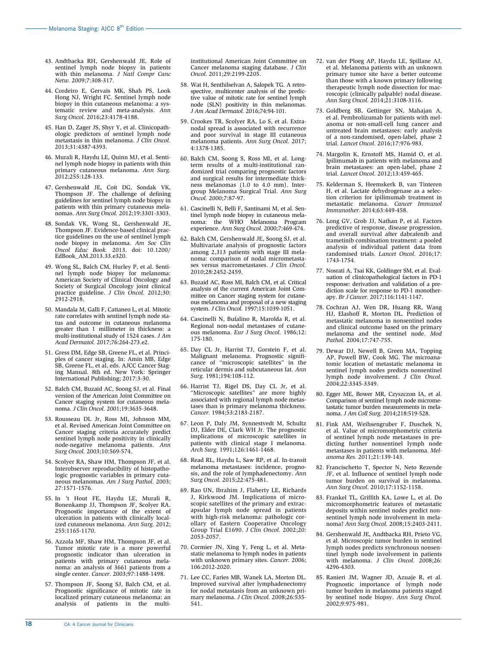- 43. Andtbacka RH, Gershenwald JE. Role of sentinel lymph node biopsy in patients with thin melanoma. J Natl Compr Canc Netw. 2009;7:308-317.
- 44. Cordeiro E, Gervais MK, Shah PS, Look Hong NJ, Wright FC. Sentinel lymph node biopsy in thin cutaneous melanoma: a systematic review and meta-analysis. Ann Surg Oncol. 2016;23:4178-4188.
- 45. Han D, Zager JS, Shyr Y, et al. Clinicopathologic predictors of sentinel lymph node metastasis in thin melanoma.  $\overrightarrow{J}$  Clin Oncol. 2013;31:4387-4393.
- 46. Murali R, Haydu LE, Quinn MJ, et al. Sentinel lymph node biopsy in patients with thin primary cutaneous melanoma. Ann Surg. 2012;255:128-133.
- 47. Gershenwald JE, Coit DG, Sondak VK, Thompson JF. The challenge of defining guidelines for sentinel lymph node biopsy in patients with thin primary cutaneous melanomas. Ann Surg Oncol. 2012;19:3301-3303.
- 48. Sondak VK, Wong SL, Gershenwald JE, Thompson JF. Evidence-based clinical practice guidelines on the use of sentinel lymph node biopsy in melanoma. Am Soc Clin Oncol Educ Book. 2013. doi: [10.1200/](info:doi/10.1200/EdBook_AM.2013.33.e320) [EdBook\\_AM.2013.33.e320](info:doi/10.1200/EdBook_AM.2013.33.e320).
- 49. Wong SL, Balch CM, Hurley P, et al. Sentinel lymph node biopsy for melanoma: American Society of Clinical Oncology and Society of Surgical Oncology joint clinical practice guideline. J Clin Oncol. 2012;30: 2912-2918.
- 50. Mandala M, Galli F, Cattaneo L, et al. Mitotic rate correlates with sentinel lymph node status and outcome in cutaneous melanoma greater than 1 millimeter in thickness: a multi-institutional study of 1524 cases. J Am Acad Dermatol. 2017;76:264-273.e2.
- 51. Gress DM, Edge SB, Greene FL, et al. Principles of cancer staging. In: Amin MB, Edge SB, Greene FL, et al, eds. AJCC Cancer Staging Manual. 8th ed. New York: Springer International Publishing; 2017:3-30.
- 52. Balch CM, Buzaid AC, Soong SJ, et al. Final version of the American Joint Committee on Cancer staging system for cutaneous melanoma. J Clin Oncol. 2001;19:3635-3648.
- 53. Rousseau DL Jr, Ross MI, Johnson MM, et al. Revised American Joint Committee on Cancer staging criteria accurately predict sentinel lymph node positivity in clinically node-negative melanoma patients. Ann Surg Oncol. 2003;10:569-574.
- 54. Scolyer RA, Shaw HM, Thompson JF, et al. Interobserver reproducibility of histopathologic prognostic variables in primary cutaneous melanomas. Am J Surg Pathol. 2003; 27:1571-1576.
- 55. In 't Hout FE, Haydu LE, Murali R, Bonenkamp JJ, Thompson JF, Scolyer RA. Prognostic importance of the extent of ulceration in patients with clinically localized cutaneous melanoma. Ann Surg. 2012; 255:1165-1170.
- 56. Azzola MF, Shaw HM, Thompson JF, et al. Tumor mitotic rate is a more powerful prognostic indicator than ulceration in patients with primary cutaneous melanoma: an analysis of 3661 patients from a single center. Cancer. 2003;97:1488-1498.
- 57. Thompson JF, Soong SJ, Balch CM, et al. Prognostic significance of mitotic rate in localized primary cutaneous melanoma: an analysis of patients in the multi-

institutional American Joint Committee on Cancer melanoma staging database. J Clin Oncol. 2011;29:2199-2205.

- 58. Wat H, Senthilselvan A, Salopek TG. A retrospective, multicenter analysis of the predictive value of mitotic rate for sentinel lymph node (SLN) positivity in thin melanomas. J Am Acad Dermatol. 2016;74:94-101.
- 59. Crookes TR, Scolyer RA, Lo S, et al. Extranodal spread is associated with recurrence and poor survival in stage III cutaneous melanoma patients. Ann Surg Oncol. 2017; 4:1378-1385.
- 60. Balch CM, Soong S, Ross MI, et al. Longterm results of a multi-institutional randomized trial comparing prognostic factors and surgical results for intermediate thickness melanomas (1.0 to 4.0 mm). Intergroup Melanoma Surgical Trial. Ann Surg Oncol. 2000;7:87-97.
- 61. Cascinelli N, Belli F, Santinami M, et al. Sentinel lymph node biopsy in cutaneous melanoma: the WHO Melanoma Program experience. Ann Surg Oncol. 2000;7:469-474.
- 62. Balch CM, Gershenwald JE, Soong SJ, et al. Multivariate analysis of prognostic factors among 2,313 patients with stage III melanoma: comparison of nodal micrometastases versus macrometastases. J Clin Oncol. 2010;28:2452-2459.
- 63. Buzaid AC, Ross MI, Balch CM, et al. Critical analysis of the current American Joint Committee on Cancer staging system for cutaneous melanoma and proposal of a new staging system. J Clin Oncol. 1997;15:1039-1051.
- 64. Cascinelli N, Bufalino R, Marolda R, et al. Regional non-nodal metastases of cutaneous melanoma. Eur J Surg Oncol. 1986;12: 175-180.
- 65. Day CL Jr, Harrist TJ, Gorstein F, et al. Malignant melanoma. Prognostic significance of "microscopic satellites" in the reticular dermis and subcutaneous fat. Ann Surg. 1981;194:108-112.
- 66. Harrist TJ, Rigel DS, Day CL Jr, et al. "Microscopic satellites" are more highly associated with regional lymph node metastases than is primary melanoma thickness. Cancer. 1984;53:2183-2187.
- 67. Leon P, Daly JM, Synnestvedt M, Schultz DJ, Elder DE, Clark WH Jr. The prognostic implications of microscopic satellites in patients with clinical stage I melanoma. Arch Surg. 1991;126:1461-1468.
- 68. Read RL, Haydu L, Saw RP, et al. In-transit melanoma metastases: incidence, prognosis, and the role of lymphadenectomy. Ann Surg Oncol. 2015;22:475-481.
- 69. Rao UN, Ibrahim J, Flaherty LE, Richards J, Kirkwood JM. Implications of microscopic satellites of the primary and extracapsular lymph node spread in patients with high-risk melanoma: pathologic corollary of Eastern Cooperative Oncology Group Trial E1690. J Clin Oncol. 2002;20: 2053-2057.
- 70. Cormier JN, Xing Y, Feng L, et al. Metastatic melanoma to lymph nodes in patients with unknown primary sites. Cancer. 2006; 106:2012-2020.
- 71. Lee CC, Faries MB, Wanek LA, Morton DL. Improved survival after lymphadenectomy for nodal metastasis from an unknown primary melanoma. J Clin Oncol. 2008;26:535-541.
- 72. van der Ploeg AP, Haydu LE, Spillane AJ, et al. Melanoma patients with an unknown primary tumor site have a better outcome than those with a known primary following therapeutic lymph node dissection for macroscopic (clinically palpable) nodal disease. Ann Surg Oncol. 2014;21:3108-3116.
- 73. Goldberg SB, Gettinger SN, Mahajan A, et al. Pembrolizumab for patients with melanoma or non-small-cell lung cancer and untreated brain metastases: early analysis of a non-randomised, open-label, phase 2 trial. Lancet Oncol. 2016;17:976-983.
- 74. Margolin K, Ernstoff MS, Hamid O, et al. Ipilimumab in patients with melanoma and brain metastases: an open-label, phase 2 trial. Lancet Oncol. 2012;13:459-465.
- 75. Kelderman S, Heemskerk B, van Tinteren H, et al. Lactate dehydrogenase as a selection criterion for ipilimumab treatment in metastatic melanoma. Cancer Immunol Immunother. 2014;63:449-458.
- 76. Long GV, Grob JJ, Nathan P, et al. Factors predictive of response, disease progression, and overall survival after dabrafenib and trametinib combination treatment: a pooled analysis of individual patient data from randomised trials. Lancet Oncol. 2016;17: 1743-1754.
- 77. Nosrati A, Tsai KK, Goldinger SM, et al. Evaluation of clinicopathological factors in PD-1 response: derivation and validation of a prediction scale for response to PD-1 monotherapy. Br J Cancer. 2017;116:1141-1147.
- 78. Cochran AJ, Wen DR, Huang RR, Wang HJ, Elashoff R, Morton DL. Prediction of metastatic melanoma in nonsentinel nodes and clinical outcome based on the primary melanoma and the sentinel node. Mod Pathol. 2004;17:747-755.
- 79. Dewar DJ, Newell B, Green MA, Topping AP, Powell BW, Cook MG. The microanatomic location of metastatic melanoma in sentinel lymph nodes predicts nonsentinel lymph node involvement. J Clin Oncol. 2004;22:3345-3349.
- 80. Egger ME, Bower MR, Czyszczon IA, et al. Comparison of sentinel lymph node micrometastatic tumor burden measurements in melanoma. J Am Coll Surg. 2014;218:519-528.
- 81. Fink AM, Weihsengruber F, Duschek N, et al. Value of micromorphometric criteria of sentinel lymph node metastases in predicting further nonsentinel lymph node metastases in patients with melanoma. Melanoma Res. 2011;21:139-143.
- 82. Francischetto T, Spector N, Neto Rezende JF, et al. Influence of sentinel lymph node tumor burden on survival in melanoma. Ann Surg Oncol. 2010;17:1152-1158.
- 83. Frankel TL, Griffith KA, Lowe L, et al. Do micromorphometric features of metastatic deposits within sentinel nodes predict nonsentinel lymph node involvement in melanoma? Ann Surg Oncol. 2008;15:2403-2411.
- 84. Gershenwald JE, Andtbacka RH, Prieto VG, et al. Microscopic tumor burden in sentinel lymph nodes predicts synchronous nonsentinel lymph node involvement in patients with melanoma. J Clin Oncol. 2008;26: 4296-4303.
- 85. Ranieri JM, Wagner JD, Azuaje R, et al. Prognostic importance of lymph node tumor burden in melanoma patients staged by sentinel node biopsy. Ann Surg Oncol. 2002;9:975-981.